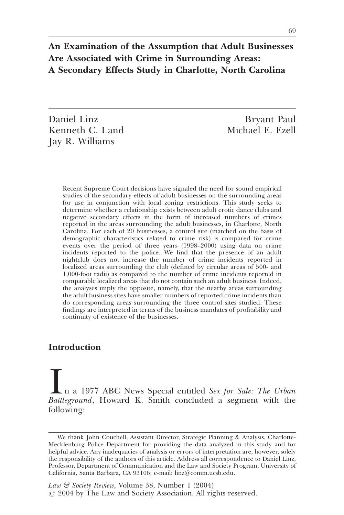# An Examination of the Assumption that Adult Businesses Are Associated with Crime in Surrounding Areas: A Secondary Effects Study in Charlotte, North Carolina

Daniel Linz Bryant Paul Kenneth C. Land Jay R. Williams

Michael E. Ezell

Recent Supreme Court decisions have signaled the need for sound empirical studies of the secondary effects of adult businesses on the surrounding areas for use in conjunction with local zoning restrictions. This study seeks to determine whether a relationship exists between adult erotic dance clubs and negative secondary effects in the form of increased numbers of crimes reported in the areas surrounding the adult businesses, in Charlotte, North Carolina. For each of 20 businesses, a control site (matched on the basis of demographic characteristics related to crime risk) is compared for crime events over the period of three years (1998–2000) using data on crime incidents reported to the police. We find that the presence of an adult nightclub does not increase the number of crime incidents reported in localized areas surrounding the club (defined by circular areas of 500- and 1,000-foot radii) as compared to the number of crime incidents reported in comparable localized areas that do not contain such an adult business. Indeed, the analyses imply the opposite, namely, that the nearby areas surrounding the adult business sites have smaller numbers of reported crime incidents than do corresponding areas surrounding the three control sites studied. These findings are interpreted in terms of the business mandates of profitability and continuity of existence of the businesses.

## Introduction

In a 1977 ABC News Special entitled Sex for Sale: The Urban Battleground, Howard K. Smith concluded a segment with the following:

We thank John Couchell, Assistant Director, Strategic Planning & Analysis, Charlotte-Mecklenburg Police Department for providing the data analyzed in this study and for helpful advice. Any inadequacies of analysis or errors of interpretation are, however, solely the responsibility of the authors of this article. Address all correspondence to Daniel Linz, Professor, Department of Communication and the Law and Society Program, University of California, Santa Barbara, CA 93106; e-mail: linz@comm.ucsb.edu.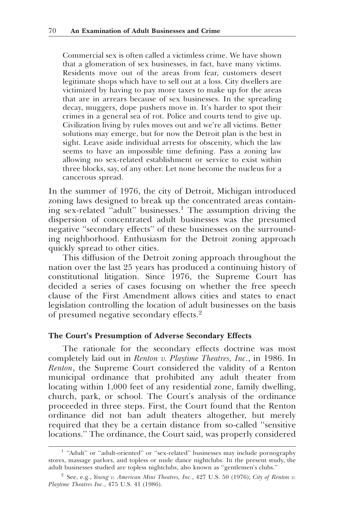Commercial sex is often called a victimless crime. We have shown that a glomeration of sex businesses, in fact, have many victims. Residents move out of the areas from fear, customers desert legitimate shops which have to sell out at a loss. City dwellers are victimized by having to pay more taxes to make up for the areas that are in arrears because of sex businesses. In the spreading decay, muggers, dope pushers move in. It's harder to spot their crimes in a general sea of rot. Police and courts tend to give up. Civilization living by rules moves out and we're all victims. Better solutions may emerge, but for now the Detroit plan is the best in sight. Leave aside individual arrests for obscenity, which the law seems to have an impossible time defining. Pass a zoning law allowing no sex-related establishment or service to exist within three blocks, say, of any other. Let none become the nucleus for a cancerous spread.

In the summer of 1976, the city of Detroit, Michigan introduced zoning laws designed to break up the concentrated areas containing sex-related ''adult'' businesses.1 The assumption driving the dispersion of concentrated adult businesses was the presumed negative ''secondary effects'' of these businesses on the surrounding neighborhood. Enthusiasm for the Detroit zoning approach quickly spread to other cities.

This diffusion of the Detroit zoning approach throughout the nation over the last 25 years has produced a continuing history of constitutional litigation. Since 1976, the Supreme Court has decided a series of cases focusing on whether the free speech clause of the First Amendment allows cities and states to enact legislation controlling the location of adult businesses on the basis of presumed negative secondary effects.<sup>2</sup>

#### The Court's Presumption of Adverse Secondary Effects

The rationale for the secondary effects doctrine was most completely laid out in Renton v. Playtime Theatres, Inc., in 1986. In Renton, the Supreme Court considered the validity of a Renton municipal ordinance that prohibited any adult theater from locating within 1,000 feet of any residential zone, family dwelling, church, park, or school. The Court's analysis of the ordinance proceeded in three steps. First, the Court found that the Renton ordinance did not ban adult theaters altogether, but merely required that they be a certain distance from so-called ''sensitive locations.'' The ordinance, the Court said, was properly considered

<sup>&</sup>lt;sup>1</sup> "Adult" or "adult-oriented" or "sex-related" businesses may include pornography stores, massage parlors, and topless or nude dance nightclubs. In the present study, the adult businesses studied are topless nightclubs, also known as ''gentlemen's clubs.''

 $2$  See, e.g., Young v. American Mini Theatres, Inc., 427 U.S. 50 (1976); City of Renton v. Playtime Theatres Inc., 475 U.S. 41 (1986).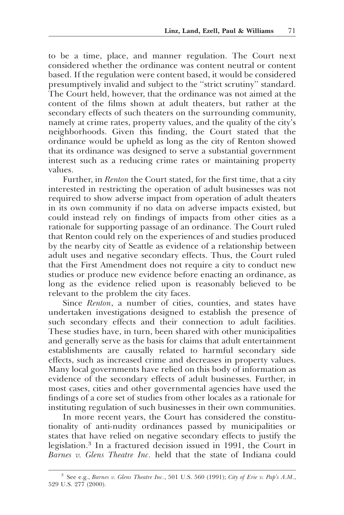to be a time, place, and manner regulation. The Court next considered whether the ordinance was content neutral or content based. If the regulation were content based, it would be considered presumptively invalid and subject to the ''strict scrutiny'' standard. The Court held, however, that the ordinance was not aimed at the content of the films shown at adult theaters, but rather at the secondary effects of such theaters on the surrounding community, namely at crime rates, property values, and the quality of the city's neighborhoods. Given this finding, the Court stated that the ordinance would be upheld as long as the city of Renton showed that its ordinance was designed to serve a substantial government interest such as a reducing crime rates or maintaining property values.

Further, in *Renton* the Court stated, for the first time, that a city interested in restricting the operation of adult businesses was not required to show adverse impact from operation of adult theaters in its own community if no data on adverse impacts existed, but could instead rely on findings of impacts from other cities as a rationale for supporting passage of an ordinance. The Court ruled that Renton could rely on the experiences of and studies produced by the nearby city of Seattle as evidence of a relationship between adult uses and negative secondary effects. Thus, the Court ruled that the First Amendment does not require a city to conduct new studies or produce new evidence before enacting an ordinance, as long as the evidence relied upon is reasonably believed to be relevant to the problem the city faces.

Since Renton, a number of cities, counties, and states have undertaken investigations designed to establish the presence of such secondary effects and their connection to adult facilities. These studies have, in turn, been shared with other municipalities and generally serve as the basis for claims that adult entertainment establishments are causally related to harmful secondary side effects, such as increased crime and decreases in property values. Many local governments have relied on this body of information as evidence of the secondary effects of adult businesses. Further, in most cases, cities and other governmental agencies have used the findings of a core set of studies from other locales as a rationale for instituting regulation of such businesses in their own communities.

In more recent years, the Court has considered the constitutionality of anti-nudity ordinances passed by municipalities or states that have relied on negative secondary effects to justify the legislation.3 In a fractured decision issued in 1991, the Court in Barnes v. Glens Theatre Inc. held that the state of Indiana could

<sup>3</sup> See e.g., Barnes v. Glens Theatre Inc., 501 U.S. 560 (1991); City of Erie v. Pap's A.M., 529 U.S. 277 (2000).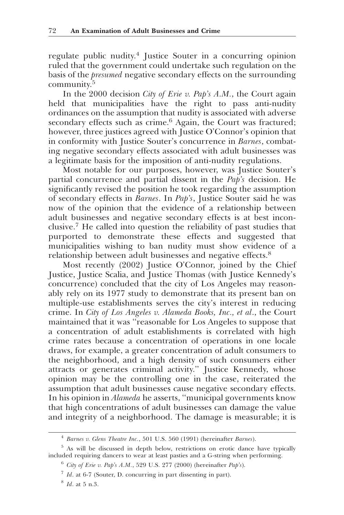regulate public nudity.4 Justice Souter in a concurring opinion ruled that the government could undertake such regulation on the basis of the presumed negative secondary effects on the surrounding community.<sup>5</sup>

In the 2000 decision City of Erie v. Pap's A.M., the Court again held that municipalities have the right to pass anti-nudity ordinances on the assumption that nudity is associated with adverse secondary effects such as crime.<sup>6</sup> Again, the Court was fractured; however, three justices agreed with Justice O'Connor's opinion that in conformity with Justice Souter's concurrence in Barnes, combating negative secondary effects associated with adult businesses was a legitimate basis for the imposition of anti-nudity regulations.

Most notable for our purposes, however, was Justice Souter's partial concurrence and partial dissent in the Pap's decision. He significantly revised the position he took regarding the assumption of secondary effects in Barnes. In Pap's, Justice Souter said he was now of the opinion that the evidence of a relationship between adult businesses and negative secondary effects is at best inconclusive.7 He called into question the reliability of past studies that purported to demonstrate these effects and suggested that municipalities wishing to ban nudity must show evidence of a relationship between adult businesses and negative effects.<sup>8</sup>

Most recently (2002) Justice O'Connor, joined by the Chief Justice, Justice Scalia, and Justice Thomas (with Justice Kennedy's concurrence) concluded that the city of Los Angeles may reasonably rely on its 1977 study to demonstrate that its present ban on multiple-use establishments serves the city's interest in reducing crime. In City of Los Angeles v. Alameda Books, Inc., et al., the Court maintained that it was ''reasonable for Los Angeles to suppose that a concentration of adult establishments is correlated with high crime rates because a concentration of operations in one locale draws, for example, a greater concentration of adult consumers to the neighborhood, and a high density of such consumers either attracts or generates criminal activity.'' Justice Kennedy, whose opinion may be the controlling one in the case, reiterated the assumption that adult businesses cause negative secondary effects. In his opinion in Alameda he asserts, ''municipal governments know that high concentrations of adult businesses can damage the value and integrity of a neighborhood. The damage is measurable; it is

<sup>4</sup> Barnes v. Glens Theatre Inc., 501 U.S. 560 (1991) (hereinafter Barnes).

<sup>5</sup> As will be discussed in depth below, restrictions on erotic dance have typically included requiring dancers to wear at least pasties and a G-string when performing.

 $6$  City of Erie v. Pap's A.M., 529 U.S. 277 (2000) (hereinafter Pap's).

 $7$  Id. at 6-7 (Souter, D. concurring in part dissenting in part).

 $8$  *Id.* at 5 n.3.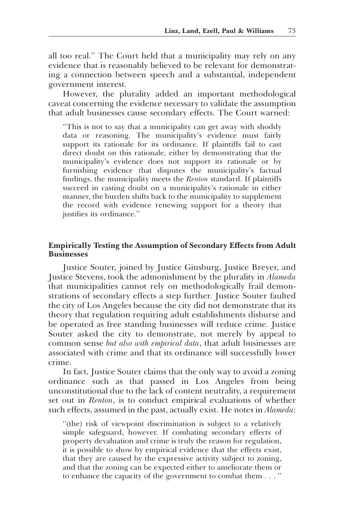all too real.'' The Court held that a municipality may rely on any evidence that is reasonably believed to be relevant for demonstrating a connection between speech and a substantial, independent government interest.

However, the plurality added an important methodological caveat concerning the evidence necessary to validate the assumption that adult businesses cause secondary effects. The Court warned:

''This is not to say that a municipality can get away with shoddy data or reasoning. The municipality's evidence must fairly support its rationale for its ordinance. If plaintiffs fail to cast direct doubt on this rationale, either by demonstrating that the municipality's evidence does not support its rationale or by furnishing evidence that disputes the municipality's factual findings, the municipality meets the Renton standard. If plaintiffs succeed in casting doubt on a municipality's rationale in either manner, the burden shifts back to the municipality to supplement the record with evidence renewing support for a theory that justifies its ordinance.''

#### Empirically Testing the Assumption of Secondary Effects from Adult **Businesses**

Justice Souter, joined by Justice Ginsburg, Justice Breyer, and Justice Stevens, took the admonishment by the plurality in Alameda that municipalities cannot rely on methodologically frail demonstrations of secondary effects a step further. Justice Souter faulted the city of Los Angeles because the city did not demonstrate that its theory that regulation requiring adult establishments disburse and be operated as free standing businesses will reduce crime. Justice Souter asked the city to demonstrate, not merely by appeal to common sense but also with empirical data, that adult businesses are associated with crime and that its ordinance will successfully lower crime.

In fact, Justice Souter claims that the only way to avoid a zoning ordinance such as that passed in Los Angeles from being unconstitutional due to the lack of content neutrality, a requirement set out in Renton, is to conduct empirical evaluations of whether such effects, assumed in the past, actually exist. He notes in *Alameda*:

''(the) risk of viewpoint discrimination is subject to a relatively simple safeguard, however. If combating secondary effects of property devaluation and crime is truly the reason for regulation, it is possible to show by empirical evidence that the effects exist, that they are caused by the expressive activity subject to zoning, and that the zoning can be expected either to ameliorate them or to enhance the capacity of the government to combat them . . . ''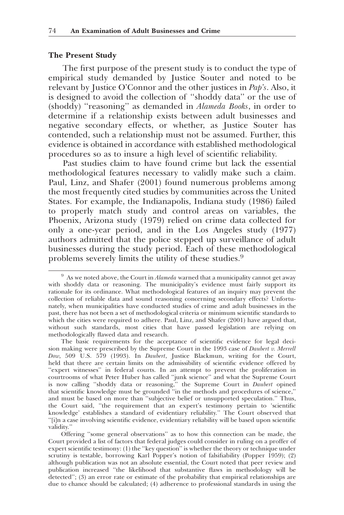#### The Present Study

The first purpose of the present study is to conduct the type of empirical study demanded by Justice Souter and noted to be relevant by Justice O'Connor and the other justices in Pap's. Also, it is designed to avoid the collection of ''shoddy data'' or the use of (shoddy) ''reasoning'' as demanded in Alameda Books, in order to determine if a relationship exists between adult businesses and negative secondary effects, or whether, as Justice Souter has contended, such a relationship must not be assumed. Further, this evidence is obtained in accordance with established methodological procedures so as to insure a high level of scientific reliability.

Past studies claim to have found crime but lack the essential methodological features necessary to validly make such a claim. Paul, Linz, and Shafer (2001) found numerous problems among the most frequently cited studies by communities across the United States. For example, the Indianapolis, Indiana study (1986) failed to properly match study and control areas on variables, the Phoenix, Arizona study (1979) relied on crime data collected for only a one-year period, and in the Los Angeles study (1977) authors admitted that the police stepped up surveillance of adult businesses during the study period. Each of these methodological problems severely limits the utility of these studies.9

Offering ''some general observations'' as to how this connection can be made, the Court provided a list of factors that federal judges could consider in ruling on a proffer of expert scientific testimony: (1) the ''key question'' is whether the theory or technique under scrutiny is testable, borrowing Karl Popper's notion of falsifiability (Popper 1959); (2) although publication was not an absolute essential, the Court noted that peer review and publication increased ''the likelihood that substantive flaws in methodology will be detected''; (3) an error rate or estimate of the probability that empirical relationships are due to chance should be calculated; (4) adherence to professional standards in using the

 $9$  As we noted above, the Court in *Alameda* warned that a municipality cannot get away with shoddy data or reasoning. The municipality's evidence must fairly support its rationale for its ordinance. What methodological features of an inquiry may prevent the collection of reliable data and sound reasoning concerning secondary effects? Unfortunately, when municipalities have conducted studies of crime and adult businesses in the past, there has not been a set of methodological criteria or minimum scientific standards to which the cities were required to adhere. Paul, Linz, and Shafer (2001) have argued that, without such standards, most cities that have passed legislation are relying on methodologically flawed data and research.

The basic requirements for the acceptance of scientific evidence for legal decision making were prescribed by the Supreme Court in the 1993 case of Daubert v. Merrell Dow, 509 U.S. 579 (1993). In Daubert, Justice Blackmun, writing for the Court, held that there are certain limits on the admissibility of scientific evidence offered by "expert witnesses" in federal courts. In an attempt to prevent the proliferation in courtrooms of what Peter Huber has called ''junk science'' and what the Supreme Court is now calling "shoddy data or reasoning," the Supreme Court in *Daubert* opined that scientific knowledge must be grounded ''in the methods and procedures of science,'' and must be based on more than ''subjective belief or unsupported speculation.'' Thus, the Court said, ''the requirement that an expert's testimony pertain to 'scientific knowledge' establishes a standard of evidentiary reliability.'' The Court observed that ''[i]n a case involving scientific evidence, evidentiary reliability will be based upon scientific validity.''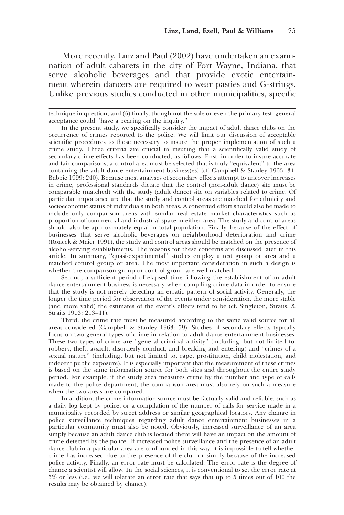More recently, Linz and Paul (2002) have undertaken an examination of adult cabarets in the city of Fort Wayne, Indiana, that serve alcoholic beverages and that provide exotic entertainment wherein dancers are required to wear pasties and G-strings. Unlike previous studies conducted in other municipalities, specific

In the present study, we specifically consider the impact of adult dance clubs on the occurrence of crimes reported to the police. We will limit our discussion of acceptable scientific procedures to those necessary to insure the proper implementation of such a crime study. Three criteria are crucial in insuring that a scientifically valid study of secondary crime effects has been conducted, as follows. First, in order to insure accurate and fair comparisons, a control area must be selected that is truly "equivalent" to the area containing the adult dance entertainment business(es) (cf. Campbell & Stanley 1963: 34; Babbie 1999: 240). Because most analyses of secondary effects attempt to uncover increases in crime, professional standards dictate that the control (non-adult dance) site must be comparable (matched) with the study (adult dance) site on variables related to crime. Of particular importance are that the study and control areas are matched for ethnicity and socioeconomic status of individuals in both areas. A concerted effort should also be made to include only comparison areas with similar real estate market characteristics such as proportion of commercial and industrial space in either area. The study and control areas should also be approximately equal in total population. Finally, because of the effect of businesses that serve alcoholic beverages on neighborhood deterioration and crime (Roncek & Maier 1991), the study and control areas should be matched on the presence of alcohol-serving establishments. The reasons for these concerns are discussed later in this article. In summary, ''quasi-experimental'' studies employ a test group or area and a matched control group or area. The most important consideration in such a design is whether the comparison group or control group are well matched.

Second, a sufficient period of elapsed time following the establishment of an adult dance entertainment business is necessary when compiling crime data in order to ensure that the study is not merely detecting an erratic pattern of social activity. Generally, the longer the time period for observation of the events under consideration, the more stable (and more valid) the estimates of the event's effects tend to be (cf. Singleton, Straits, & Straits 1993: 213–41).

Third, the crime rate must be measured according to the same valid source for all areas considered (Campbell & Stanley 1963: 59). Studies of secondary effects typically focus on two general types of crime in relation to adult dance entertainment businesses. These two types of crime are ''general criminal activity'' (including, but not limited to, robbery, theft, assault, disorderly conduct, and breaking and entering) and ''crimes of a sexual nature'' (including, but not limited to, rape, prostitution, child molestation, and indecent public exposure). It is especially important that the measurement of these crimes is based on the same information source for both sites and throughout the entire study period. For example, if the study area measures crime by the number and type of calls made to the police department, the comparison area must also rely on such a measure when the two areas are compared.

In addition, the crime information source must be factually valid and reliable, such as a daily log kept by police, or a compilation of the number of calls for service made in a municipality recorded by street address or similar geographical locators. Any change in police surveillance techniques regarding adult dance entertainment businesses in a particular community must also be noted. Obviously, increased surveillance of an area simply because an adult dance club is located there will have an impact on the amount of crime detected by the police. If increased police surveillance and the presence of an adult dance club in a particular area are confounded in this way, it is impossible to tell whether crime has increased due to the presence of the club or simply because of the increased police activity. Finally, an error rate must be calculated. The error rate is the degree of chance a scientist will allow. In the social sciences, it is conventional to set the error rate at 5% or less (i.e., we will tolerate an error rate that says that up to 5 times out of 100 the results may be obtained by chance).

technique in question; and (5) finally, though not the sole or even the primary test, general acceptance could ''have a bearing on the inquiry.''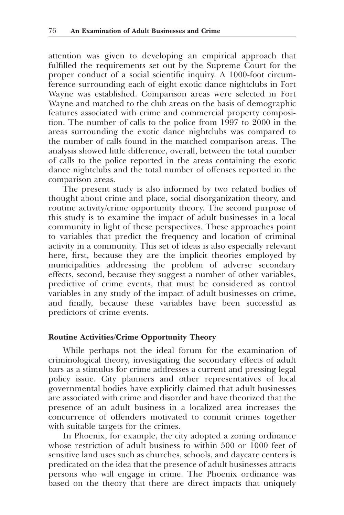attention was given to developing an empirical approach that fulfilled the requirements set out by the Supreme Court for the proper conduct of a social scientific inquiry. A 1000-foot circumference surrounding each of eight exotic dance nightclubs in Fort Wayne was established. Comparison areas were selected in Fort Wayne and matched to the club areas on the basis of demographic features associated with crime and commercial property composition. The number of calls to the police from 1997 to 2000 in the areas surrounding the exotic dance nightclubs was compared to the number of calls found in the matched comparison areas. The analysis showed little difference, overall, between the total number of calls to the police reported in the areas containing the exotic dance nightclubs and the total number of offenses reported in the comparison areas.

The present study is also informed by two related bodies of thought about crime and place, social disorganization theory, and routine activity/crime opportunity theory. The second purpose of this study is to examine the impact of adult businesses in a local community in light of these perspectives. These approaches point to variables that predict the frequency and location of criminal activity in a community. This set of ideas is also especially relevant here, first, because they are the implicit theories employed by municipalities addressing the problem of adverse secondary effects, second, because they suggest a number of other variables, predictive of crime events, that must be considered as control variables in any study of the impact of adult businesses on crime, and finally, because these variables have been successful as predictors of crime events.

## Routine Activities/Crime Opportunity Theory

While perhaps not the ideal forum for the examination of criminological theory, investigating the secondary effects of adult bars as a stimulus for crime addresses a current and pressing legal policy issue. City planners and other representatives of local governmental bodies have explicitly claimed that adult businesses are associated with crime and disorder and have theorized that the presence of an adult business in a localized area increases the concurrence of offenders motivated to commit crimes together with suitable targets for the crimes.

In Phoenix, for example, the city adopted a zoning ordinance whose restriction of adult business to within 500 or 1000 feet of sensitive land uses such as churches, schools, and daycare centers is predicated on the idea that the presence of adult businesses attracts persons who will engage in crime. The Phoenix ordinance was based on the theory that there are direct impacts that uniquely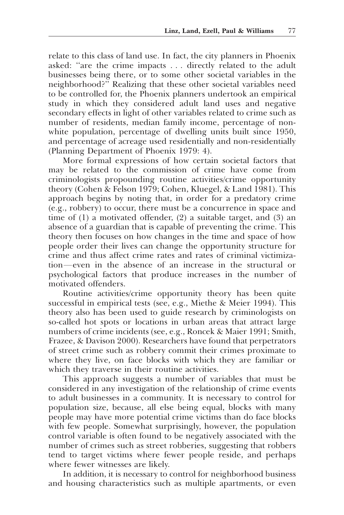relate to this class of land use. In fact, the city planners in Phoenix asked: ''are the crime impacts . . . directly related to the adult businesses being there, or to some other societal variables in the neighborhood?'' Realizing that these other societal variables need to be controlled for, the Phoenix planners undertook an empirical study in which they considered adult land uses and negative secondary effects in light of other variables related to crime such as number of residents, median family income, percentage of nonwhite population, percentage of dwelling units built since 1950, and percentage of acreage used residentially and non-residentially (Planning Department of Phoenix 1979: 4).

More formal expressions of how certain societal factors that may be related to the commission of crime have come from criminologists propounding routine activities/crime opportunity theory (Cohen & Felson 1979; Cohen, Kluegel, & Land 1981). This approach begins by noting that, in order for a predatory crime (e.g., robbery) to occur, there must be a concurrence in space and time of (1) a motivated offender, (2) a suitable target, and (3) an absence of a guardian that is capable of preventing the crime. This theory then focuses on how changes in the time and space of how people order their lives can change the opportunity structure for crime and thus affect crime rates and rates of criminal victimization—even in the absence of an increase in the structural or psychological factors that produce increases in the number of motivated offenders.

Routine activities/crime opportunity theory has been quite successful in empirical tests (see, e.g., Miethe & Meier 1994). This theory also has been used to guide research by criminologists on so-called hot spots or locations in urban areas that attract large numbers of crime incidents (see, e.g., Roncek & Maier 1991; Smith, Frazee, & Davison 2000). Researchers have found that perpetrators of street crime such as robbery commit their crimes proximate to where they live, on face blocks with which they are familiar or which they traverse in their routine activities.

This approach suggests a number of variables that must be considered in any investigation of the relationship of crime events to adult businesses in a community. It is necessary to control for population size, because, all else being equal, blocks with many people may have more potential crime victims than do face blocks with few people. Somewhat surprisingly, however, the population control variable is often found to be negatively associated with the number of crimes such as street robberies, suggesting that robbers tend to target victims where fewer people reside, and perhaps where fewer witnesses are likely.

In addition, it is necessary to control for neighborhood business and housing characteristics such as multiple apartments, or even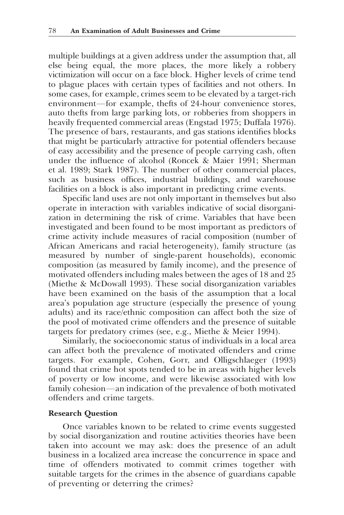multiple buildings at a given address under the assumption that, all else being equal, the more places, the more likely a robbery victimization will occur on a face block. Higher levels of crime tend to plague places with certain types of facilities and not others. In some cases, for example, crimes seem to be elevated by a target-rich environment—for example, thefts of 24-hour convenience stores, auto thefts from large parking lots, or robberies from shoppers in heavily frequented commercial areas (Engstad 1975; Duffala 1976). The presence of bars, restaurants, and gas stations identifies blocks that might be particularly attractive for potential offenders because of easy accessibility and the presence of people carrying cash, often under the influence of alcohol (Roncek & Maier 1991; Sherman et al. 1989; Stark 1987). The number of other commercial places, such as business offices, industrial buildings, and warehouse facilities on a block is also important in predicting crime events.

Specific land uses are not only important in themselves but also operate in interaction with variables indicative of social disorganization in determining the risk of crime. Variables that have been investigated and been found to be most important as predictors of crime activity include measures of racial composition (number of African Americans and racial heterogeneity), family structure (as measured by number of single-parent households), economic composition (as measured by family income), and the presence of motivated offenders including males between the ages of 18 and 25 (Miethe & McDowall 1993). These social disorganization variables have been examined on the basis of the assumption that a local area's population age structure (especially the presence of young adults) and its race/ethnic composition can affect both the size of the pool of motivated crime offenders and the presence of suitable targets for predatory crimes (see, e.g., Miethe & Meier 1994).

Similarly, the socioeconomic status of individuals in a local area can affect both the prevalence of motivated offenders and crime targets. For example, Cohen, Gorr, and Olligschlaeger (1993) found that crime hot spots tended to be in areas with higher levels of poverty or low income, and were likewise associated with low family cohesion—an indication of the prevalence of both motivated offenders and crime targets.

## Research Question

Once variables known to be related to crime events suggested by social disorganization and routine activities theories have been taken into account we may ask: does the presence of an adult business in a localized area increase the concurrence in space and time of offenders motivated to commit crimes together with suitable targets for the crimes in the absence of guardians capable of preventing or deterring the crimes?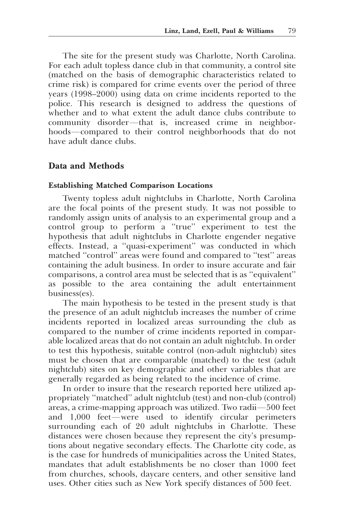The site for the present study was Charlotte, North Carolina. For each adult topless dance club in that community, a control site (matched on the basis of demographic characteristics related to crime risk) is compared for crime events over the period of three years (1998–2000) using data on crime incidents reported to the police. This research is designed to address the questions of whether and to what extent the adult dance clubs contribute to community disorder—that is, increased crime in neighborhoods—compared to their control neighborhoods that do not have adult dance clubs.

## Data and Methods

#### Establishing Matched Comparison Locations

Twenty topless adult nightclubs in Charlotte, North Carolina are the focal points of the present study. It was not possible to randomly assign units of analysis to an experimental group and a control group to perform a ''true'' experiment to test the hypothesis that adult nightclubs in Charlotte engender negative effects. Instead, a ''quasi-experiment'' was conducted in which matched ''control'' areas were found and compared to ''test'' areas containing the adult business. In order to insure accurate and fair comparisons, a control area must be selected that is as ''equivalent'' as possible to the area containing the adult entertainment business(es).

The main hypothesis to be tested in the present study is that the presence of an adult nightclub increases the number of crime incidents reported in localized areas surrounding the club as compared to the number of crime incidents reported in comparable localized areas that do not contain an adult nightclub. In order to test this hypothesis, suitable control (non-adult nightclub) sites must be chosen that are comparable (matched) to the test (adult nightclub) sites on key demographic and other variables that are generally regarded as being related to the incidence of crime.

In order to insure that the research reported here utilized appropriately ''matched'' adult nightclub (test) and non-club (control) areas, a crime-mapping approach was utilized. Two radii—500 feet and  $1,000$  feet—were used to identify circular perimeters surrounding each of 20 adult nightclubs in Charlotte. These distances were chosen because they represent the city's presumptions about negative secondary effects. The Charlotte city code, as is the case for hundreds of municipalities across the United States, mandates that adult establishments be no closer than 1000 feet from churches, schools, daycare centers, and other sensitive land uses. Other cities such as New York specify distances of 500 feet.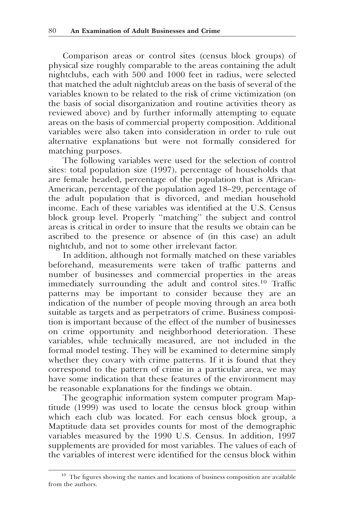Comparison areas or control sites (census block groups) of physical size roughly comparable to the areas containing the adult nightclubs, each with 500 and 1000 feet in radius, were selected that matched the adult nightclub areas on the basis of several of the variables known to be related to the risk of crime victimization (on the basis of social disorganization and routine activities theory as reviewed above) and by further informally attempting to equate areas on the basis of commercial property composition. Additional variables were also taken into consideration in order to rule out alternative explanations but were not formally considered for matching purposes.

The following variables were used for the selection of control sites: total population size (1997), percentage of households that are female headed, percentage of the population that is African-American, percentage of the population aged 18–29, percentage of the adult population that is divorced, and median household income. Each of these variables was identified at the U.S. Census block group level. Properly ''matching'' the subject and control areas is critical in order to insure that the results we obtain can be ascribed to the presence or absence of (in this case) an adult nightclub, and not to some other irrelevant factor.

In addition, although not formally matched on these variables beforehand, measurements were taken of traffic patterns and number of businesses and commercial properties in the areas immediately surrounding the adult and control sites.<sup>10</sup> Traffic patterns may be important to consider because they are an indication of the number of people moving through an area both suitable as targets and as perpetrators of crime. Business composition is important because of the effect of the number of businesses on crime opportunity and neighborhood deterioration. These variables, while technically measured, are not included in the formal model testing. They will be examined to determine simply whether they covary with crime patterns. If it is found that they correspond to the pattern of crime in a particular area, we may have some indication that these features of the environment may be reasonable explanations for the findings we obtain.

The geographic information system computer program Maptitude (1999) was used to locate the census block group within which each club was located. For each census block group, a Maptitude data set provides counts for most of the demographic variables measured by the 1990 U.S. Census. In addition, 1997 supplements are provided for most variables. The values of each of the variables of interest were identified for the census block within

<sup>&</sup>lt;sup>10</sup> The figures showing the names and locations of business composition are available from the authors.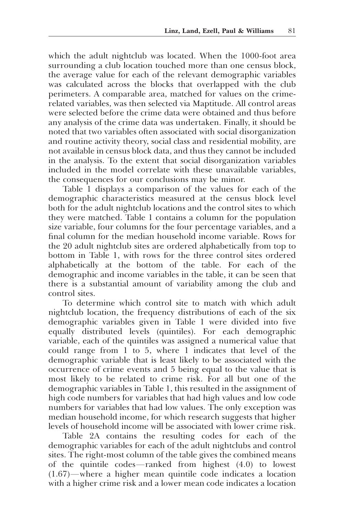which the adult nightclub was located. When the 1000-foot area surrounding a club location touched more than one census block, the average value for each of the relevant demographic variables was calculated across the blocks that overlapped with the club perimeters. A comparable area, matched for values on the crimerelated variables, was then selected via Maptitude. All control areas were selected before the crime data were obtained and thus before any analysis of the crime data was undertaken. Finally, it should be noted that two variables often associated with social disorganization and routine activity theory, social class and residential mobility, are not available in census block data, and thus they cannot be included in the analysis. To the extent that social disorganization variables included in the model correlate with these unavailable variables, the consequences for our conclusions may be minor.

Table 1 displays a comparison of the values for each of the demographic characteristics measured at the census block level both for the adult nightclub locations and the control sites to which they were matched. Table 1 contains a column for the population size variable, four columns for the four percentage variables, and a final column for the median household income variable. Rows for the 20 adult nightclub sites are ordered alphabetically from top to bottom in Table 1, with rows for the three control sites ordered alphabetically at the bottom of the table. For each of the demographic and income variables in the table, it can be seen that there is a substantial amount of variability among the club and control sites.

To determine which control site to match with which adult nightclub location, the frequency distributions of each of the six demographic variables given in Table 1 were divided into five equally distributed levels (quintiles). For each demographic variable, each of the quintiles was assigned a numerical value that could range from 1 to 5, where 1 indicates that level of the demographic variable that is least likely to be associated with the occurrence of crime events and 5 being equal to the value that is most likely to be related to crime risk. For all but one of the demographic variables in Table 1, this resulted in the assignment of high code numbers for variables that had high values and low code numbers for variables that had low values. The only exception was median household income, for which research suggests that higher levels of household income will be associated with lower crime risk.

Table 2A contains the resulting codes for each of the demographic variables for each of the adult nightclubs and control sites. The right-most column of the table gives the combined means of the quintile codes—ranked from highest  $(4.0)$  to lowest  $(1.67)$ —where a higher mean quintile code indicates a location with a higher crime risk and a lower mean code indicates a location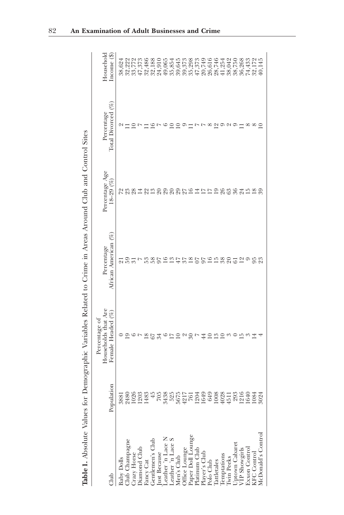|                                                                                                                                                                                                                                                                                |                | Table 1. Absolute Values for Demographic Variables Related to Crime in Areas Around Club and Control Sites |                                    |                               |                                  |                             |
|--------------------------------------------------------------------------------------------------------------------------------------------------------------------------------------------------------------------------------------------------------------------------------|----------------|------------------------------------------------------------------------------------------------------------|------------------------------------|-------------------------------|----------------------------------|-----------------------------|
| Club                                                                                                                                                                                                                                                                           | Population     | Households that Are<br>Female Headed (%)<br>Percentage of                                                  | African American (%)<br>Percentage | Percentage Age<br>$18 - 29(%$ | Total Divorced (%)<br>Percentage | Household<br>Income $(\$\)$ |
| Baby Dolls<br>Club Champagne<br>Club Champagne<br>Crazy Horse<br>Centlemen's Club<br>Tancy Cat<br>Lus Because<br>Centlemen's Club<br>Lus Because<br>Office Lounge<br>Paper's Club<br>Paper's Club<br>Paper's Club<br>Paper's Club<br>Trattelates<br>Trattelates<br>Trattelates | 3881           |                                                                                                            |                                    |                               |                                  | 38,624                      |
|                                                                                                                                                                                                                                                                                | 2480           | O)                                                                                                         | 59                                 |                               |                                  | 32,222                      |
|                                                                                                                                                                                                                                                                                | 1026           |                                                                                                            | $\overline{5}$                     | 28                            |                                  | 33,772                      |
|                                                                                                                                                                                                                                                                                | 1203           |                                                                                                            |                                    | $\overline{14}$               |                                  | 47,373                      |
|                                                                                                                                                                                                                                                                                | 1483           | œ                                                                                                          | 53                                 | 22                            |                                  | 32,486                      |
|                                                                                                                                                                                                                                                                                |                | 67                                                                                                         | 58                                 |                               |                                  | 32,188                      |
|                                                                                                                                                                                                                                                                                | 705            | 34                                                                                                         |                                    | $\Omega$                      |                                  | 24,910                      |
|                                                                                                                                                                                                                                                                                | 3438           |                                                                                                            | $\Xi$                              | 99                            |                                  | 49,065                      |
|                                                                                                                                                                                                                                                                                | 525            | $\frac{1}{2}$                                                                                              | $\frac{3}{2}$                      | $\overline{6}$                |                                  | 35,854                      |
|                                                                                                                                                                                                                                                                                | 5675           | ≘                                                                                                          | $47$                               | 27                            |                                  | 39,645                      |
|                                                                                                                                                                                                                                                                                | 4217           | Z                                                                                                          | 37                                 |                               |                                  | 39,373                      |
|                                                                                                                                                                                                                                                                                | <b>194</b>     | $\overline{\mathrm{30}}$                                                                                   | 18                                 | $\Xi$                         |                                  | 35,298                      |
|                                                                                                                                                                                                                                                                                | <sup>204</sup> |                                                                                                            | $\overline{C}$                     | 4                             |                                  | 47,373                      |
|                                                                                                                                                                                                                                                                                | 1649           | 꿐                                                                                                          | 57                                 |                               |                                  | 20,749                      |
|                                                                                                                                                                                                                                                                                | 649            | $\subseteq$                                                                                                | 16                                 |                               |                                  | 26,616                      |
|                                                                                                                                                                                                                                                                                | 1008           | $\mathbf{C}$                                                                                               | $\overline{15}$                    | $\overline{0}$                | N                                | 28,746                      |
|                                                                                                                                                                                                                                                                                | 4028           | ≘                                                                                                          | 38                                 | 26                            |                                  | 41,254                      |
|                                                                                                                                                                                                                                                                                | 451            |                                                                                                            | $^{20}$                            | 63                            |                                  | 38,042                      |
|                                                                                                                                                                                                                                                                                | 293            |                                                                                                            | 61                                 | 36                            |                                  | 38,750                      |
|                                                                                                                                                                                                                                                                                | <b>216</b>     | J.                                                                                                         | $\overline{\mathfrak{a}}$          | 24                            |                                  | 36,268                      |
|                                                                                                                                                                                                                                                                                | 1640           |                                                                                                            |                                    | ≌                             |                                  | 74,433                      |
|                                                                                                                                                                                                                                                                                | 1084           |                                                                                                            | 95                                 | ≌                             |                                  | 32,172                      |
|                                                                                                                                                                                                                                                                                | 3024           |                                                                                                            | 23                                 | 39                            |                                  | 40,145                      |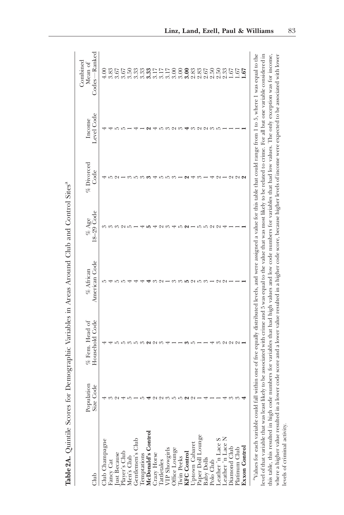|                                                                                                                                                                                                                                                                 | Population<br>Size Code | % Fem. Head of                                                                                                                                                                      | % African     | % Age        | % Divorced | Income     | Combined<br>Mean of  |
|-----------------------------------------------------------------------------------------------------------------------------------------------------------------------------------------------------------------------------------------------------------------|-------------------------|-------------------------------------------------------------------------------------------------------------------------------------------------------------------------------------|---------------|--------------|------------|------------|----------------------|
| Club                                                                                                                                                                                                                                                            |                         | Household Code                                                                                                                                                                      | American Code | $18-29$ Code | Code       | Level Code | Codes-Ranked         |
| Club Champagne                                                                                                                                                                                                                                                  |                         |                                                                                                                                                                                     |               |              |            |            | $_{4.00}$            |
|                                                                                                                                                                                                                                                                 |                         |                                                                                                                                                                                     |               |              |            |            | 3.83                 |
|                                                                                                                                                                                                                                                                 |                         |                                                                                                                                                                                     |               |              |            |            | 3.67                 |
|                                                                                                                                                                                                                                                                 |                         |                                                                                                                                                                                     |               |              |            |            | 3.67                 |
|                                                                                                                                                                                                                                                                 |                         |                                                                                                                                                                                     |               |              |            |            | 3.50                 |
| Fancy Cat $\checkmark$ - Just Because<br>Just Because<br>Maryer's Club<br>Maryer's Club<br>Centlements Club<br>Centlements Club<br>Centlements Club<br>Centlements Club<br>Crazy Horse<br>Ture Lounge<br>The Lounge<br>REC Compolls<br>Paper Doll Lounge<br>Pap |                         |                                                                                                                                                                                     |               |              |            |            | 3.33                 |
|                                                                                                                                                                                                                                                                 |                         |                                                                                                                                                                                     |               |              |            |            | 3.33                 |
|                                                                                                                                                                                                                                                                 |                         |                                                                                                                                                                                     |               |              |            |            | 3.33                 |
|                                                                                                                                                                                                                                                                 |                         |                                                                                                                                                                                     |               |              |            |            | 3.17                 |
|                                                                                                                                                                                                                                                                 |                         |                                                                                                                                                                                     |               |              |            |            |                      |
|                                                                                                                                                                                                                                                                 |                         |                                                                                                                                                                                     |               |              |            |            | $77.000$<br>$0.0000$ |
|                                                                                                                                                                                                                                                                 |                         |                                                                                                                                                                                     |               |              |            |            |                      |
|                                                                                                                                                                                                                                                                 |                         |                                                                                                                                                                                     |               |              |            |            |                      |
|                                                                                                                                                                                                                                                                 |                         |                                                                                                                                                                                     |               |              |            |            | 3.00                 |
|                                                                                                                                                                                                                                                                 |                         |                                                                                                                                                                                     |               |              |            |            | 2.83                 |
|                                                                                                                                                                                                                                                                 |                         |                                                                                                                                                                                     |               |              |            |            | 2.83                 |
|                                                                                                                                                                                                                                                                 |                         |                                                                                                                                                                                     |               |              |            |            | 2.67                 |
|                                                                                                                                                                                                                                                                 |                         |                                                                                                                                                                                     |               |              |            |            |                      |
|                                                                                                                                                                                                                                                                 |                         |                                                                                                                                                                                     |               |              |            |            | $2.50$<br>$2.50$     |
|                                                                                                                                                                                                                                                                 |                         |                                                                                                                                                                                     |               |              |            |            | 2.33                 |
|                                                                                                                                                                                                                                                                 |                         |                                                                                                                                                                                     |               |              |            |            | 1.67                 |
|                                                                                                                                                                                                                                                                 |                         |                                                                                                                                                                                     |               |              |            |            | 1.67                 |
| Exxon Control                                                                                                                                                                                                                                                   |                         |                                                                                                                                                                                     |               |              |            |            | 1.67                 |
| evel of that variable that was least likely to be associated with crime and 5 was equal to the value that was most likely to be related to crime. For all but one variable considered in<br>this table, this resulted in high cod                               |                         | "Values for each variable could fall within one of five equally distributed levels, and were assigned a value for this table that could range from 1 to 5, where 1 was equal to the |               |              |            |            |                      |
| where a higher value resulted in                                                                                                                                                                                                                                |                         | a lower code score and a lower value resulted in a higher code score, because higher levels of income were expected to be associated with lower                                     |               |              |            |            |                      |

Table 2A. Quintile Scores for Demographic Variables in Areas Around Club and Control Sites<sup>a</sup> Table 2A. Quintile Scores for Demographic Variables in Areas Around Club and Control Sitesa

levels of criminal activity.

levels of criminal activity.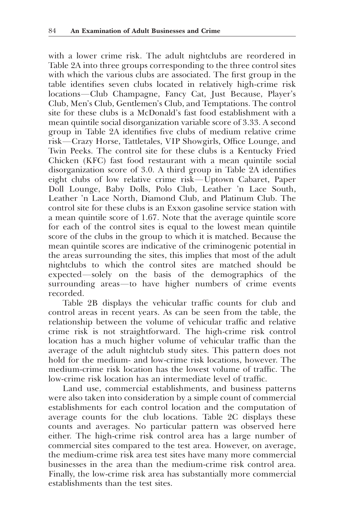with a lower crime risk. The adult nightclubs are reordered in Table 2A into three groups corresponding to the three control sites with which the various clubs are associated. The first group in the table identifies seven clubs located in relatively high-crime risk locations-Club Champagne, Fancy Cat, Just Because, Player's Club, Men's Club, Gentlemen's Club, and Temptations. The control site for these clubs is a McDonald's fast food establishment with a mean quintile social disorganization variable score of 3.33. A second group in Table 2A identifies five clubs of medium relative crime risk-Crazy Horse, Tattletales, VIP Showgirls, Office Lounge, and Twin Peeks. The control site for these clubs is a Kentucky Fried Chicken (KFC) fast food restaurant with a mean quintile social disorganization score of 3.0. A third group in Table 2A identifies eight clubs of low relative crime risk—Uptown Cabaret, Paper Doll Lounge, Baby Dolls, Polo Club, Leather 'n Lace South, Leather 'n Lace North, Diamond Club, and Platinum Club. The control site for these clubs is an Exxon gasoline service station with a mean quintile score of 1.67. Note that the average quintile score for each of the control sites is equal to the lowest mean quintile score of the clubs in the group to which it is matched. Because the mean quintile scores are indicative of the criminogenic potential in the areas surrounding the sites, this implies that most of the adult nightclubs to which the control sites are matched should be expected—solely on the basis of the demographics of the surrounding areas—to have higher numbers of crime events recorded.

Table 2B displays the vehicular traffic counts for club and control areas in recent years. As can be seen from the table, the relationship between the volume of vehicular traffic and relative crime risk is not straightforward. The high-crime risk control location has a much higher volume of vehicular traffic than the average of the adult nightclub study sites. This pattern does not hold for the medium- and low-crime risk locations, however. The medium-crime risk location has the lowest volume of traffic. The low-crime risk location has an intermediate level of traffic.

Land use, commercial establishments, and business patterns were also taken into consideration by a simple count of commercial establishments for each control location and the computation of average counts for the club locations. Table 2C displays these counts and averages. No particular pattern was observed here either. The high-crime risk control area has a large number of commercial sites compared to the test area. However, on average, the medium-crime risk area test sites have many more commercial businesses in the area than the medium-crime risk control area. Finally, the low-crime risk area has substantially more commercial establishments than the test sites.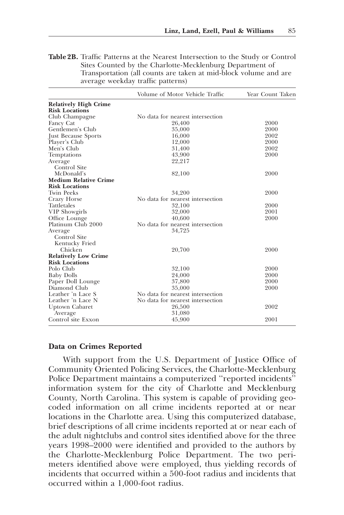Table 2B. Traffic Patterns at the Nearest Intersection to the Study or Control Sites Counted by the Charlotte-Mecklenburg Department of Transportation (all counts are taken at mid-block volume and are average weekday traffic patterns)

|                              | Volume of Motor Vehicle Traffic  | Year Count Taken |
|------------------------------|----------------------------------|------------------|
| <b>Relatively High Crime</b> |                                  |                  |
| <b>Risk Locations</b>        |                                  |                  |
| Club Champagne               | No data for nearest intersection |                  |
| Fancy Cat                    | 26,400                           | 2000             |
| Gentlemen's Club             | 35,000                           | 2000             |
| Just Because Sports          | 16,000                           | 2002             |
| Player's Club                | 12,000                           | 2000             |
| Men's Club                   | 31,400                           | 2002             |
| Temptations                  | 43,900                           | 2000             |
| Average                      | 22,217                           |                  |
| Control Site                 |                                  |                  |
| McDonald's                   | 82,100                           | 2000             |
| <b>Medium Relative Crime</b> |                                  |                  |
| <b>Risk Locations</b>        |                                  |                  |
| <b>Twin Peeks</b>            | 34,200                           | 2000             |
| Crazy Horse                  | No data for nearest intersection |                  |
| Tattletales                  | 32,100                           | 2000             |
| <b>VIP</b> Showgirls         | 32,000                           | 2001             |
| Office Lounge                | 40,600                           | 2000             |
| Platinum Club 2000           | No data for nearest intersection |                  |
| Average                      | 34,725                           |                  |
| Control Site                 |                                  |                  |
| Kentucky Fried               |                                  |                  |
| Chicken                      | 20,700                           | 2000             |
| <b>Relatively Low Crime</b>  |                                  |                  |
| <b>Risk Locations</b>        |                                  |                  |
| Polo Club                    | 32,100                           | 2000             |
| <b>Baby Dolls</b>            | 24,000                           | 2000             |
| Paper Doll Lounge            | 37,800                           | 2000             |
| Diamond Club                 | 35,000                           | 2000             |
| Leather 'n Lace S            | No data for nearest intersection |                  |
| Leather 'n Lace N            | No data for nearest intersection |                  |
| Uptown Cabaret               | 26,500                           | 2002             |
| Average                      | 31,080                           |                  |
| Control site Exxon           | 45,900                           | 2001             |

#### Data on Crimes Reported

With support from the U.S. Department of Justice Office of Community Oriented Policing Services, the Charlotte-Mecklenburg Police Department maintains a computerized ''reported incidents'' information system for the city of Charlotte and Mecklenburg County, North Carolina. This system is capable of providing geocoded information on all crime incidents reported at or near locations in the Charlotte area. Using this computerized database, brief descriptions of all crime incidents reported at or near each of the adult nightclubs and control sites identified above for the three years 1998–2000 were identified and provided to the authors by the Charlotte-Mecklenburg Police Department. The two perimeters identified above were employed, thus yielding records of incidents that occurred within a 500-foot radius and incidents that occurred within a 1,000-foot radius.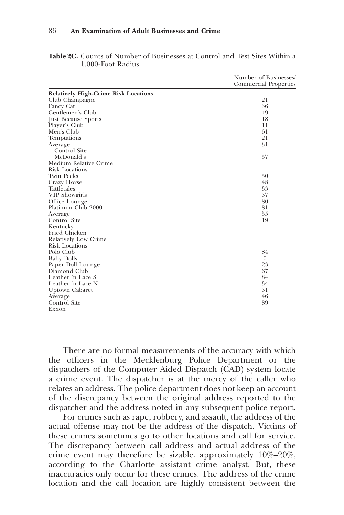|                                             | Number of Businesses/<br><b>Commercial Properties</b> |
|---------------------------------------------|-------------------------------------------------------|
| <b>Relatively High-Crime Risk Locations</b> |                                                       |
| Club Champagne                              | 21                                                    |
| Fancy Cat                                   | 36                                                    |
| Gentlemen's Club                            | 49                                                    |
| Just Because Sports                         | 18                                                    |
| Player's Club                               | 11                                                    |
| Men's Club                                  | 61                                                    |
| Temptations                                 | 21                                                    |
| Average                                     | 31                                                    |
| Control Site                                |                                                       |
| McDonald's                                  | 57                                                    |
| Medium Relative Crime                       |                                                       |
| <b>Risk Locations</b>                       |                                                       |
| <b>Twin Peeks</b>                           | 50                                                    |
| Crazy Horse                                 | 48                                                    |
| Tattletales                                 | 33                                                    |
| <b>VIP Showgirls</b>                        | 37                                                    |
| Office Lounge                               | 80                                                    |
| Platinum Club 2000                          | 81                                                    |
| Average                                     | 55                                                    |
| Control Site                                | 19                                                    |
| Kentucky                                    |                                                       |
| Fried Chicken                               |                                                       |
| Relatively Low Crime                        |                                                       |
| Risk Locations                              |                                                       |
| Polo Club                                   | 84                                                    |
| <b>Baby Dolls</b>                           | $\theta$                                              |
| Paper Doll Lounge                           | 23                                                    |
| Diamond Club                                | 67                                                    |
| Leather 'n Lace S                           | 84                                                    |
| Leather 'n Lace N                           | 34                                                    |
| Uptown Cabaret                              | 31                                                    |
| Average                                     | 46                                                    |
| Control Site                                | 89                                                    |
| Exxon                                       |                                                       |

| <b>Table 2C.</b> Counts of Number of Businesses at Control and Test Sites Within a |  |  |  |
|------------------------------------------------------------------------------------|--|--|--|
| 1.000-Foot Radius                                                                  |  |  |  |

There are no formal measurements of the accuracy with which the officers in the Mecklenburg Police Department or the dispatchers of the Computer Aided Dispatch (CAD) system locate a crime event. The dispatcher is at the mercy of the caller who relates an address. The police department does not keep an account of the discrepancy between the original address reported to the dispatcher and the address noted in any subsequent police report.

For crimes such as rape, robbery, and assault, the address of the actual offense may not be the address of the dispatch. Victims of these crimes sometimes go to other locations and call for service. The discrepancy between call address and actual address of the crime event may therefore be sizable, approximately 10%–20%, according to the Charlotte assistant crime analyst. But, these inaccuracies only occur for these crimes. The address of the crime location and the call location are highly consistent between the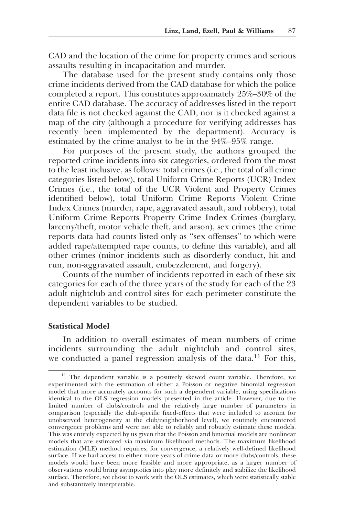CAD and the location of the crime for property crimes and serious assaults resulting in incapacitation and murder.

The database used for the present study contains only those crime incidents derived from the CAD database for which the police completed a report. This constitutes approximately 25%–30% of the entire CAD database. The accuracy of addresses listed in the report data file is not checked against the CAD, nor is it checked against a map of the city (although a procedure for verifying addresses has recently been implemented by the department). Accuracy is estimated by the crime analyst to be in the 94%–95% range.

For purposes of the present study, the authors grouped the reported crime incidents into six categories, ordered from the most to the least inclusive, as follows: total crimes (i.e., the total of all crime categories listed below), total Uniform Crime Reports (UCR) Index Crimes (i.e., the total of the UCR Violent and Property Crimes identified below), total Uniform Crime Reports Violent Crime Index Crimes (murder, rape, aggravated assault, and robbery), total Uniform Crime Reports Property Crime Index Crimes (burglary, larceny/theft, motor vehicle theft, and arson), sex crimes (the crime reports data had counts listed only as ''sex offenses'' to which were added rape/attempted rape counts, to define this variable), and all other crimes (minor incidents such as disorderly conduct, hit and run, non-aggravated assault, embezzlement, and forgery).

Counts of the number of incidents reported in each of these six categories for each of the three years of the study for each of the 23 adult nightclub and control sites for each perimeter constitute the dependent variables to be studied.

#### Statistical Model

In addition to overall estimates of mean numbers of crime incidents surrounding the adult nightclub and control sites, we conducted a panel regression analysis of the data.<sup>11</sup> For this,

<sup>&</sup>lt;sup>11</sup> The dependent variable is a positively skewed count variable. Therefore, we experimented with the estimation of either a Poisson or negative binomial regression model that more accurately accounts for such a dependent variable, using specifications identical to the OLS regression models presented in the article. However, due to the limited number of clubs/controls and the relatively large number of parameters in comparison (especially the club-specific fixed-effects that were included to account for unobserved heterogeneity at the club/neighborhood level), we routinely encountered convergence problems and were not able to reliably and robustly estimate these models. This was entirely expected by us given that the Poisson and binomial models are nonlinear models that are estimated via maximum likelihood methods. The maximum likelihood estimation (MLE) method requires, for convergence, a relatively well-defined likelihood surface. If we had access to either more years of crime data or more clubs/controls, these models would have been more feasible and more appropriate, as a larger number of observations would bring asymptotics into play more definitely and stabilize the likelihood surface. Therefore, we chose to work with the OLS estimates, which were statistically stable and substantively interpretable.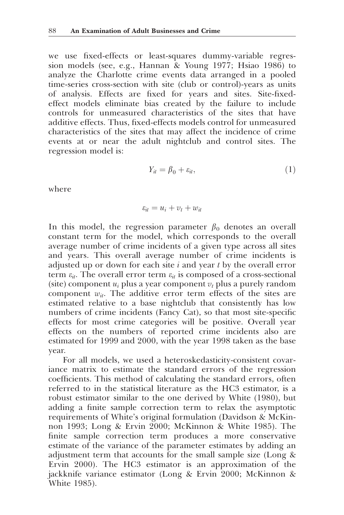we use fixed-effects or least-squares dummy-variable regression models (see, e.g., Hannan & Young 1977; Hsiao 1986) to analyze the Charlotte crime events data arranged in a pooled time-series cross-section with site (club or control)-years as units of analysis. Effects are fixed for years and sites. Site-fixedeffect models eliminate bias created by the failure to include controls for unmeasured characteristics of the sites that have additive effects. Thus, fixed-effects models control for unmeasured characteristics of the sites that may affect the incidence of crime events at or near the adult nightclub and control sites. The regression model is:

$$
Y_{it} = \beta_0 + \varepsilon_{it},\tag{1}
$$

where

$$
\varepsilon_{it} = u_i + v_t + w_{it}
$$

In this model, the regression parameter  $\beta_0$  denotes an overall constant term for the model, which corresponds to the overall average number of crime incidents of a given type across all sites and years. This overall average number of crime incidents is adjusted up or down for each site  $i$  and year  $t$  by the overall error term  $\varepsilon_{it}$ . The overall error term  $\varepsilon_{it}$  is composed of a cross-sectional (site) component  $u_i$  plus a year component  $v_t$  plus a purely random component  $w_{it}$ . The additive error term effects of the sites are estimated relative to a base nightclub that consistently has low numbers of crime incidents (Fancy Cat), so that most site-specific effects for most crime categories will be positive. Overall year effects on the numbers of reported crime incidents also are estimated for 1999 and 2000, with the year 1998 taken as the base year.

For all models, we used a heteroskedasticity-consistent covariance matrix to estimate the standard errors of the regression coefficients. This method of calculating the standard errors, often referred to in the statistical literature as the HC3 estimator, is a robust estimator similar to the one derived by White (1980), but adding a finite sample correction term to relax the asymptotic requirements of White's original formulation (Davidson & McKinnon 1993; Long & Ervin 2000; McKinnon & White 1985). The finite sample correction term produces a more conservative estimate of the variance of the parameter estimates by adding an adjustment term that accounts for the small sample size (Long & Ervin 2000). The HC3 estimator is an approximation of the jackknife variance estimator (Long & Ervin 2000; McKinnon & White 1985).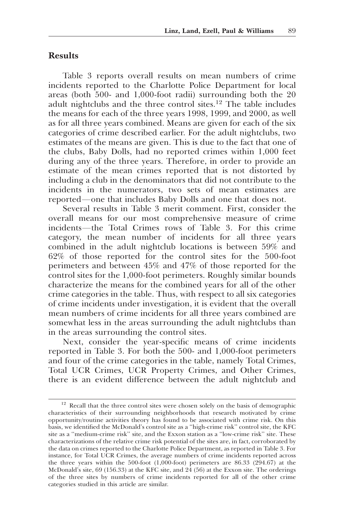## Results

Table 3 reports overall results on mean numbers of crime incidents reported to the Charlotte Police Department for local areas (both 500- and 1,000-foot radii) surrounding both the 20 adult nightclubs and the three control sites.<sup>12</sup> The table includes the means for each of the three years 1998, 1999, and 2000, as well as for all three years combined. Means are given for each of the six categories of crime described earlier. For the adult nightclubs, two estimates of the means are given. This is due to the fact that one of the clubs, Baby Dolls, had no reported crimes within 1,000 feet during any of the three years. Therefore, in order to provide an estimate of the mean crimes reported that is not distorted by including a club in the denominators that did not contribute to the incidents in the numerators, two sets of mean estimates are reported—one that includes Baby Dolls and one that does not.

Several results in Table 3 merit comment. First, consider the overall means for our most comprehensive measure of crime incidents—the Total Crimes rows of Table 3. For this crime category, the mean number of incidents for all three years combined in the adult nightclub locations is between 59% and 62% of those reported for the control sites for the 500-foot perimeters and between 45% and 47% of those reported for the control sites for the 1,000-foot perimeters. Roughly similar bounds characterize the means for the combined years for all of the other crime categories in the table. Thus, with respect to all six categories of crime incidents under investigation, it is evident that the overall mean numbers of crime incidents for all three years combined are somewhat less in the areas surrounding the adult nightclubs than in the areas surrounding the control sites.

Next, consider the year-specific means of crime incidents reported in Table 3. For both the 500- and 1,000-foot perimeters and four of the crime categories in the table, namely Total Crimes, Total UCR Crimes, UCR Property Crimes, and Other Crimes, there is an evident difference between the adult nightclub and

<sup>&</sup>lt;sup>12</sup> Recall that the three control sites were chosen solely on the basis of demographic characteristics of their surrounding neighborhoods that research motivated by crime opportunity/routine activities theory has found to be associated with crime risk. On this basis, we identified the McDonald's control site as a ''high-crime risk'' control site, the KFC site as a ''medium-crime risk'' site, and the Exxon station as a ''low-crime risk'' site. These characterizations of the relative crime risk potential of the sites are, in fact, corroborated by the data on crimes reported to the Charlotte Police Department, as reported in Table 3. For instance, for Total UCR Crimes, the average numbers of crime incidents reported across the three years within the 500-foot (1,000-foot) perimeters are 86.33 (294.67) at the McDonald's site, 69 (156.33) at the KFC site, and 24 (56) at the Exxon site. The orderings of the three sites by numbers of crime incidents reported for all of the other crime categories studied in this article are similar.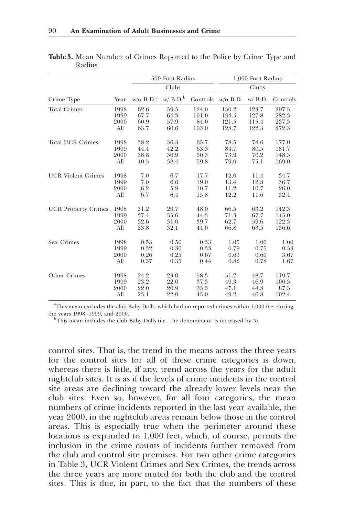|                            |      |                | 500-Foot Radius      |          |            | 1,000-Foot Radius |          |
|----------------------------|------|----------------|----------------------|----------|------------|-------------------|----------|
|                            |      |                | Clubs                |          |            | Clubs             |          |
| Crime Type                 | Year | $w/o$ $B.D.^a$ | $\le$ $\,$ B.D. $\!$ | Controls | $w/o$ B.D. | $w/$ B.D.         | Controls |
| <b>Total Crimes</b>        | 1998 | 62.6           | 59.5                 | 124.0    | 130.2      | 123.7             | 297.3    |
|                            | 1999 | 67.7           | 64.3                 | 101.0    | 134.5      | 127.8             | 282.3    |
|                            | 2000 | 60.9           | 57.9                 | 84.0     | 121.5      | 115.4             | 237.3    |
|                            | All  | 63.7           | 60.6                 | 103.0    | 128.7      | 122.3             | 272.3    |
| <b>Total UCR Crimes</b>    | 1998 | 38.2           | 36.3                 | 65.7     | 78.5       | 74.6              | 177.0    |
|                            | 1999 | 44.4           | 42.2                 | 63.3     | 84.7       | 80.5              | 181.7    |
|                            | 2000 | 38.8           | 36.9                 | 50.3     | 73.9       | 70.2              | 148.3    |
|                            | All  | 40.5           | 38.4                 | 59.8     | 79.0       | 75.1              | 169.0    |
| <b>UCR Violent Crimes</b>  | 1998 | 7.0            | 6.7                  | 17.7     | 12.0       | 11.4              | 34.7     |
|                            | 1999 | 7.0            | 6.6                  | 19.0     | 13.4       | 12.8              | 36.7     |
|                            | 2000 | 6.2            | 5.9                  | 10.7     | 11.2       | 10.7              | 26.0     |
|                            | All  | 6.7            | 6.4                  | 15.8     | 12.2       | 11.6              | 32.4     |
| <b>UCR Property Crimes</b> | 1998 | 31.2           | 29.7                 | 48.0     | 66.5       | 63.2              | 142.3    |
|                            | 1999 | 37.4           | 35.6                 | 44.3     | 71.3       | 67.7              | 145.0    |
|                            | 2000 | 32.6           | 31.0                 | 39.7     | 62.7       | 59.6              | 122.3    |
|                            | All  | 33.8           | 32.1                 | 44.0     | 66.8       | 63.5              | 136.6    |
| Sex Crimes                 | 1998 | 0.53           | 0.50                 | 0.33     | 1.05       | 1.00              | 1.00     |
|                            | 1999 | 0.32           | 0.30                 | 0.33     | 0.79       | 0.75              | 0.33     |
|                            | 2000 | 0.26           | 0.25                 | 0.67     | 0.63       | 0.60              | 3.67     |
|                            | All  | 0.37           | 0.35                 | 0.44     | 0.82       | 0.78              | 1.67     |
| Other Crimes               | 1998 | 24.2           | 23.0                 | 58.3     | 51.2       | 48.7              | 119.7    |
|                            | 1999 | 23.2           | 22.0                 | 37.3     | 49.3       | 46.9              | 100.3    |
|                            | 2000 | 22.0           | 20.9                 | 33.3     | 47.1       | 44.8              | 87.3     |
|                            | All  | 23.1           | 22.0                 | 43.0     | 49.2       | 46.8              | 102.4    |

Table 3. Mean Number of Crimes Reported to the Police by Crime Type and Radius

<sup>a</sup>This mean excludes the club Baby Dolls, which had no reported crimes within 1,000 feet during the years 1998, 1999, and 2000. <sup>b</sup>

 $\rm{^{b}This}$  mean includes the club Baby Dolls (i.e., the denominator is increased by 3).

control sites. That is, the trend in the means across the three years for the control sites for all of these crime categories is down, whereas there is little, if any, trend across the years for the adult nightclub sites. It is as if the levels of crime incidents in the control site areas are declining toward the already lower levels near the club sites. Even so, however, for all four categories, the mean numbers of crime incidents reported in the last year available, the year 2000, in the nightclub areas remain below those in the control areas. This is especially true when the perimeter around these locations is expanded to 1,000 feet, which, of course, permits the inclusion in the crime counts of incidents further removed from the club and control site premises. For two other crime categories in Table 3, UCR Violent Crimes and Sex Crimes, the trends across the three years are more muted for both the club and the control sites. This is due, in part, to the fact that the numbers of these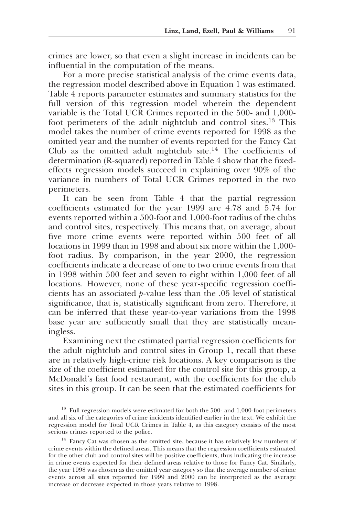crimes are lower, so that even a slight increase in incidents can be influential in the computation of the means.

For a more precise statistical analysis of the crime events data, the regression model described above in Equation 1 was estimated. Table 4 reports parameter estimates and summary statistics for the full version of this regression model wherein the dependent variable is the Total UCR Crimes reported in the 500- and 1,000 foot perimeters of the adult nightclub and control sites.<sup>13</sup> This model takes the number of crime events reported for 1998 as the omitted year and the number of events reported for the Fancy Cat Club as the omitted adult nightclub site.14 The coefficients of determination (R-squared) reported in Table 4 show that the fixedeffects regression models succeed in explaining over 90% of the variance in numbers of Total UCR Crimes reported in the two perimeters.

It can be seen from Table 4 that the partial regression coefficients estimated for the year 1999 are 4.78 and 5.74 for events reported within a 500-foot and 1,000-foot radius of the clubs and control sites, respectively. This means that, on average, about five more crime events were reported within 500 feet of all locations in 1999 than in 1998 and about six more within the 1,000 foot radius. By comparison, in the year 2000, the regression coefficients indicate a decrease of one to two crime events from that in 1998 within 500 feet and seven to eight within 1,000 feet of all locations. However, none of these year-specific regression coefficients has an associated p-value less than the .05 level of statistical significance, that is, statistically significant from zero. Therefore, it can be inferred that these year-to-year variations from the 1998 base year are sufficiently small that they are statistically meaningless.

Examining next the estimated partial regression coefficients for the adult nightclub and control sites in Group 1, recall that these are in relatively high-crime risk locations. A key comparison is the size of the coefficient estimated for the control site for this group, a McDonald's fast food restaurant, with the coefficients for the club sites in this group. It can be seen that the estimated coefficients for

<sup>&</sup>lt;sup>13</sup> Full regression models were estimated for both the 500- and 1,000-foot perimeters and all six of the categories of crime incidents identified earlier in the text. We exhibit the regression model for Total UCR Crimes in Table 4, as this category consists of the most serious crimes reported to the police.

<sup>&</sup>lt;sup>14</sup> Fancy Cat was chosen as the omitted site, because it has relatively low numbers of crime events within the defined areas. This means that the regression coefficients estimated for the other club and control sites will be positive coefficients, thus indicating the increase in crime events expected for their defined areas relative to those for Fancy Cat. Similarly, the year 1998 was chosen as the omitted year category so that the average number of crime events across all sites reported for 1999 and 2000 can be interpreted as the average increase or decrease expected in those years relative to 1998.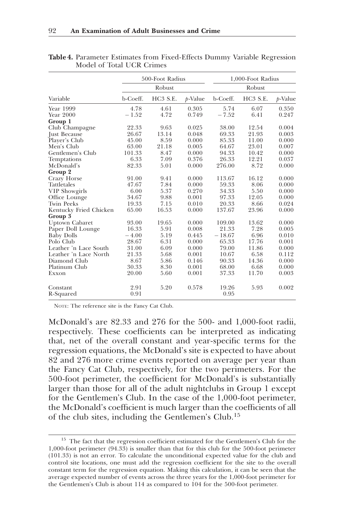|                        |          | 500-Foot Radius |            |          | 1,000-Foot Radius |            |
|------------------------|----------|-----------------|------------|----------|-------------------|------------|
|                        |          | Robust          |            |          | Robust            |            |
| Variable               | b-Coeff. | HC3 S.E.        | $p$ -Value | b-Coeff. | HC3 S.E.          | $p$ -Value |
| Year 1999              | 4.78     | 4.61            | 0.305      | 5.74     | 6.07              | 0.350      |
| Year 2000              | $-1.52$  | 4.72            | 0.749      | $-7.52$  | 6.41              | 0.247      |
| Group 1                |          |                 |            |          |                   |            |
| Club Champagne         | 22.33    | 9.63            | 0.025      | 38.00    | 12.54             | 0.004      |
| Just Because           | 26.67    | 13.14           | 0.048      | 69.33    | 21.93             | 0.003      |
| Player's Club          | 45.00    | 8.59            | 0.000      | 85.33    | 11.00             | 0.000      |
| Men's Club             | 63.00    | 21.18           | 0.005      | 64.67    | 23.01             | 0.007      |
| Gentlemen's Club       | 101.33   | 8.47            | 0.000      | 94.33    | 10.42             | 0.000      |
| Temptations            | 6.33     | 7.09            | 0.376      | 26.33    | 12.21             | 0.037      |
| McDonald's             | 82.33    | 5.01            | 0.000      | 276.00   | 8.72              | 0.000      |
| Group 2                |          |                 |            |          |                   |            |
| Crazy Horse            | 91.00    | 9.41            | 0.000      | 113.67   | 16.12             | 0.000      |
| <b>Tattletales</b>     | 47.67    | 7.84            | 0.000      | 59.33    | 8.06              | 0.000      |
| <b>VIP Showgirls</b>   | 6.00     | 5.37            | 0.270      | 34.33    | 5.50              | 0.000      |
| Office Lounge          | 34.67    | 9.88            | 0.001      | 97.33    | 12.05             | 0.000      |
| <b>Twin Peeks</b>      | 19.33    | 7.15            | 0.010      | 20.33    | 8.66              | 0.024      |
| Kentucky Fried Chicken | 65.00    | 16.53           | 0.000      | 137.67   | 23.96             | 0.000      |
| Group 3                |          |                 |            |          |                   |            |
| Uptown Cabaret         | 93.00    | 19.65           | 0.000      | 109.00   | 13.62             | 0.000      |
| Paper Doll Lounge      | 16.33    | 5.91            | 0.008      | 21.33    | 7.28              | 0.005      |
| <b>Baby Dolls</b>      | $-4.00$  | 5.19            | 0.445      | $-18.67$ | 6.96              | 0.010      |
| Polo Club              | 28.67    | 6.31            | 0.000      | 65.33    | 17.76             | 0.001      |
| Leather 'n Lace South  | 31.00    | 6.09            | 0.000      | 79.00    | 11.86             | 0.000      |
| Leather 'n Lace North  | 21.33    | 5.68            | 0.001      | 10.67    | 6.58              | 0.112      |
| Diamond Club           | 8.67     | 5.86            | 0.146      | 90.33    | 14.36             | 0.000      |
| Platinum Club          | 30.33    | 8.30            | 0.001      | 68.00    | 6.68              | 0.000      |
| Exxon                  | 20.00    | 5.60            | 0.001      | 37.33    | 11.70             | 0.003      |
| Constant               | 2.91     | 5.20            | 0.578      | 19.26    | 5.93              | 0.002      |
| R-Squared              | 0.91     |                 |            | 0.95     |                   |            |

Table 4. Parameter Estimates from Fixed-Effects Dummy Variable Regression Model of Total UCR Crimes

NOTE: The reference site is the Fancy Cat Club.

McDonald's are 82.33 and 276 for the 500- and 1,000-foot radii, respectively. These coefficients can be interpreted as indicating that, net of the overall constant and year-specific terms for the regression equations, the McDonald's site is expected to have about 82 and 276 more crime events reported on average per year than the Fancy Cat Club, respectively, for the two perimeters. For the 500-foot perimeter, the coefficient for McDonald's is substantially larger than those for all of the adult nightclubs in Group 1 except for the Gentlemen's Club. In the case of the 1,000-foot perimeter, the McDonald's coefficient is much larger than the coefficients of all of the club sites, including the Gentlemen's Club.15

<sup>&</sup>lt;sup>15</sup> The fact that the regression coefficient estimated for the Gentlemen's Club for the 1,000-foot perimeter (94.33) is smaller than that for this club for the 500-foot perimeter (101.33) is not an error. To calculate the unconditional expected value for the club and control site locations, one must add the regression coefficient for the site to the overall constant term for the regression equation. Making this calculation, it can be seen that the average expected number of events across the three years for the 1,000-foot perimeter for the Gentlemen's Club is about 114 as compared to 104 for the 500-foot perimeter.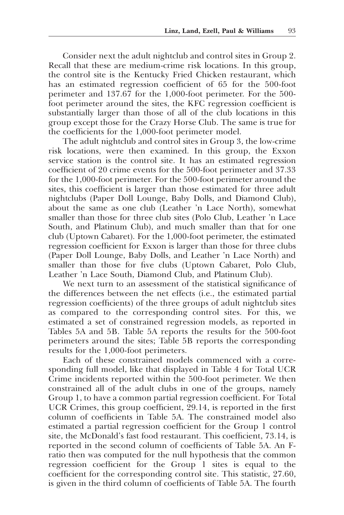Consider next the adult nightclub and control sites in Group 2. Recall that these are medium-crime risk locations. In this group, the control site is the Kentucky Fried Chicken restaurant, which has an estimated regression coefficient of 65 for the 500-foot perimeter and 137.67 for the 1,000-foot perimeter. For the 500 foot perimeter around the sites, the KFC regression coefficient is substantially larger than those of all of the club locations in this group except those for the Crazy Horse Club. The same is true for the coefficients for the 1,000-foot perimeter model.

The adult nightclub and control sites in Group 3, the low-crime risk locations, were then examined. In this group, the Exxon service station is the control site. It has an estimated regression coefficient of 20 crime events for the 500-foot perimeter and 37.33 for the 1,000-foot perimeter. For the 500-foot perimeter around the sites, this coefficient is larger than those estimated for three adult nightclubs (Paper Doll Lounge, Baby Dolls, and Diamond Club), about the same as one club (Leather 'n Lace North), somewhat smaller than those for three club sites (Polo Club, Leather 'n Lace South, and Platinum Club), and much smaller than that for one club (Uptown Cabaret). For the 1,000-foot perimeter, the estimated regression coefficient for Exxon is larger than those for three clubs (Paper Doll Lounge, Baby Dolls, and Leather 'n Lace North) and smaller than those for five clubs (Uptown Cabaret, Polo Club, Leather 'n Lace South, Diamond Club, and Platinum Club).

We next turn to an assessment of the statistical significance of the differences between the net effects (i.e., the estimated partial regression coefficients) of the three groups of adult nightclub sites as compared to the corresponding control sites. For this, we estimated a set of constrained regression models, as reported in Tables 5A and 5B. Table 5A reports the results for the 500-foot perimeters around the sites; Table 5B reports the corresponding results for the 1,000-foot perimeters.

Each of these constrained models commenced with a corresponding full model, like that displayed in Table 4 for Total UCR Crime incidents reported within the 500-foot perimeter. We then constrained all of the adult clubs in one of the groups, namely Group 1, to have a common partial regression coefficient. For Total UCR Crimes, this group coefficient, 29.14, is reported in the first column of coefficients in Table 5A. The constrained model also estimated a partial regression coefficient for the Group 1 control site, the McDonald's fast food restaurant. This coefficient, 73.14, is reported in the second column of coefficients of Table 5A. An Fratio then was computed for the null hypothesis that the common regression coefficient for the Group 1 sites is equal to the coefficient for the corresponding control site. This statistic, 27.60, is given in the third column of coefficients of Table 5A. The fourth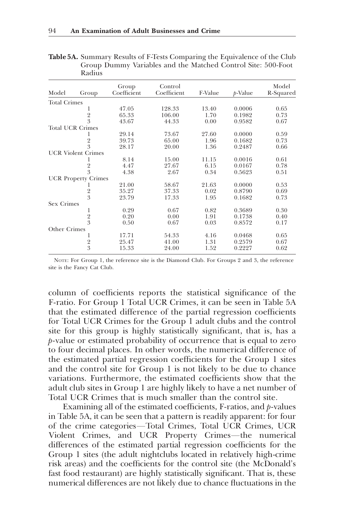| Model               | Group                      | Group<br>Coefficient | Control<br>Coefficient | F-Value | $p$ -Value | Model<br>R-Squared |
|---------------------|----------------------------|----------------------|------------------------|---------|------------|--------------------|
| <b>Total Crimes</b> |                            |                      |                        |         |            |                    |
|                     | 1                          | 47.05                | 128.33                 | 13.40   | 0.0006     | 0.65               |
|                     | $\frac{2}{3}$              | 65.33                | 106.00                 | 1.70    | 0.1982     | 0.73               |
|                     |                            | 43.67                | 44.33                  | 0.00    | 0.9582     | 0.67               |
|                     | <b>Total UCR Crimes</b>    |                      |                        |         |            |                    |
|                     |                            | 29.14                | 73.67                  | 27.60   | 0.0000     | 0.59               |
|                     | $\overline{2}$             | 39.73                | 65.00                  | 1.96    | 0.1682     | 0.73               |
|                     | 3                          | 28.17                | 20.00                  | 1.36    | 0.2487     | 0.66               |
|                     | <b>UCR Violent Crimes</b>  |                      |                        |         |            |                    |
|                     | 1                          | 8.14                 | 15.00                  | 11.15   | 0.0016     | 0.61               |
|                     |                            | 4.47                 | 27.67                  | 6.15    | 0.0167     | 0.78               |
|                     | $\frac{2}{3}$              | 4.38                 | 2.67                   | 0.34    | 0.5623     | 0.51               |
|                     | <b>UCR Property Crimes</b> |                      |                        |         |            |                    |
|                     | 1                          | 21.00                | 58.67                  | 21.63   | 0.0000     | 0.53               |
|                     |                            | 35.27                | 37.33                  | 0.02    | 0.8790     | 0.69               |
|                     | $\frac{2}{3}$              | 23.79                | 17.33                  | 1.95    | 0.1682     | 0.73               |
| Sex Crimes          |                            |                      |                        |         |            |                    |
|                     | 1                          | 0.29                 | 0.67                   | 0.82    | 0.3689     | 0.30               |
|                     | $\frac{2}{3}$              | 0.20                 | 0.00                   | 1.91    | 0.1738     | 0.40               |
|                     |                            | 0.50                 | 0.67                   | 0.03    | 0.8572     | 0.17               |
| Other Crimes        |                            |                      |                        |         |            |                    |
|                     | 1                          | 17.71                | 54.33                  | 4.16    | 0.0468     | 0.65               |
|                     |                            | 25.47                | 41.00                  | 1.31    | 0.2579     | 0.67               |
|                     |                            | 15.33                | 24.00                  | 1.52    | 0.2227     | 0.62               |
|                     | $\frac{2}{3}$              |                      |                        |         |            |                    |

Table 5A. Summary Results of F-Tests Comparing the Equivalence of the Club Group Dummy Variables and the Matched Control Site: 500-Foot Radius

NOTE: For Group 1, the reference site is the Diamond Club. For Groups 2 and 3, the reference site is the Fancy Cat Club.

column of coefficients reports the statistical significance of the F-ratio. For Group 1 Total UCR Crimes, it can be seen in Table 5A that the estimated difference of the partial regression coefficients for Total UCR Crimes for the Group 1 adult clubs and the control site for this group is highly statistically significant, that is, has a p-value or estimated probability of occurrence that is equal to zero to four decimal places. In other words, the numerical difference of the estimated partial regression coefficients for the Group 1 sites and the control site for Group 1 is not likely to be due to chance variations. Furthermore, the estimated coefficients show that the adult club sites in Group 1 are highly likely to have a net number of Total UCR Crimes that is much smaller than the control site.

Examining all of the estimated coefficients, F-ratios, and  $p$ -values in Table 5A, it can be seen that a pattern is readily apparent: for four of the crime categories—Total Crimes, Total UCR Crimes, UCR Violent Crimes, and UCR Property Crimes-the numerical differences of the estimated partial regression coefficients for the Group 1 sites (the adult nightclubs located in relatively high-crime risk areas) and the coefficients for the control site (the McDonald's fast food restaurant) are highly statistically significant. That is, these numerical differences are not likely due to chance fluctuations in the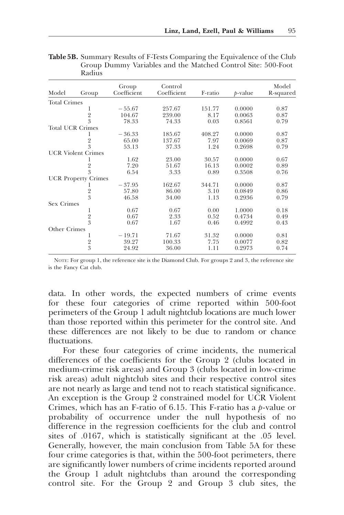| Model                   | Group                      | Group<br>Coefficient | Control<br>Coefficient | F-ratio | $p$ -value | Model<br>R-squared |
|-------------------------|----------------------------|----------------------|------------------------|---------|------------|--------------------|
| <b>Total Crimes</b>     |                            |                      |                        |         |            |                    |
|                         | 1                          | $-55.67$             | 257.67                 | 151.77  | 0.0000     | 0.87               |
|                         |                            | 104.67               | 239.00                 | 8.17    | 0.0063     | 0.87               |
|                         | $\frac{2}{3}$              | 78.33                | 74.33                  | 0.03    | 0.8561     | 0.79               |
| <b>Total UCR Crimes</b> |                            |                      |                        |         |            |                    |
|                         |                            | $-36.33$             | 185.67                 | 408.27  | 0.0000     | 0.87               |
|                         | $\overline{2}$             | 65.00                | 137.67                 | 7.97    | 0.0069     | 0.87               |
|                         | 3                          | 53.13                | 37.33                  | 1.24    | 0.2698     | 0.79               |
|                         | <b>UCR Violent Crimes</b>  |                      |                        |         |            |                    |
|                         |                            | 1.62                 | 23.00                  | 30.57   | 0.0000     | 0.67               |
|                         |                            | 7.20                 | 51.67                  | 16.13   | 0.0002     | 0.89               |
|                         | $\frac{2}{3}$              | 6.54                 | 3.33                   | 0.89    | 0.3508     | 0.76               |
|                         | <b>UCR Property Crimes</b> |                      |                        |         |            |                    |
|                         | 1                          | $-37.95$             | 162.67                 | 344.71  | 0.0000     | 0.87               |
|                         | $\frac{2}{3}$              | 57.80                | 86.00                  | 3.10    | 0.0849     | 0.86               |
|                         |                            | 46.58                | 34.00                  | 1.13    | 0.2936     | 0.79               |
| Sex Crimes              |                            |                      |                        |         |            |                    |
|                         | 1                          | 0.67                 | 0.67                   | 0.00    | 1.0000     | 0.18               |
|                         |                            | 0.67                 | 2.33                   | 0.52    | 0.4734     | 0.49               |
|                         | $\frac{2}{3}$              | 0.67                 | 1.67                   | 0.46    | 0.4992     | 0.43               |
| Other Crimes            |                            |                      |                        |         |            |                    |
|                         | 1                          | $-19.71$             | 71.67                  | 31.32   | 0.0000     | 0.81               |
|                         |                            | 39.27                | 100.33                 | 7.75    | 0.0077     | 0.82               |
|                         | $\frac{2}{3}$              | 24.92                | 36.00                  | 1.11    | 0.2973     | 0.74               |

| <b>Table 5B.</b> Summary Results of F-Tests Comparing the Equivalence of the Club |
|-----------------------------------------------------------------------------------|
| Group Dummy Variables and the Matched Control Site: 500-Foot                      |
| Radius.                                                                           |

NOTE: For group 1, the reference site is the Diamond Club. For groups 2 and 3, the reference site is the Fancy Cat club.

data. In other words, the expected numbers of crime events for these four categories of crime reported within 500-foot perimeters of the Group 1 adult nightclub locations are much lower than those reported within this perimeter for the control site. And these differences are not likely to be due to random or chance fluctuations.

For these four categories of crime incidents, the numerical differences of the coefficients for the Group 2 (clubs located in medium-crime risk areas) and Group 3 (clubs located in low-crime risk areas) adult nightclub sites and their respective control sites are not nearly as large and tend not to reach statistical significance. An exception is the Group 2 constrained model for UCR Violent Crimes, which has an F-ratio of 6.15. This F-ratio has a  $p$ -value or probability of occurrence under the null hypothesis of no difference in the regression coefficients for the club and control sites of .0167, which is statistically significant at the .05 level. Generally, however, the main conclusion from Table 5A for these four crime categories is that, within the 500-foot perimeters, there are significantly lower numbers of crime incidents reported around the Group 1 adult nightclubs than around the corresponding control site. For the Group 2 and Group 3 club sites, the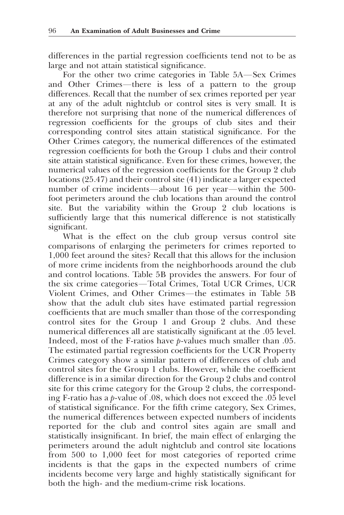differences in the partial regression coefficients tend not to be as large and not attain statistical significance.

For the other two crime categories in Table 5A—Sex Crimes and Other Crimes—there is less of a pattern to the group differences. Recall that the number of sex crimes reported per year at any of the adult nightclub or control sites is very small. It is therefore not surprising that none of the numerical differences of regression coefficients for the groups of club sites and their corresponding control sites attain statistical significance. For the Other Crimes category, the numerical differences of the estimated regression coefficients for both the Group 1 clubs and their control site attain statistical significance. Even for these crimes, however, the numerical values of the regression coefficients for the Group 2 club locations (25.47) and their control site (41) indicate a larger expected number of crime incidents—about 16 per year—within the 500foot perimeters around the club locations than around the control site. But the variability within the Group 2 club locations is sufficiently large that this numerical difference is not statistically significant.

What is the effect on the club group versus control site comparisons of enlarging the perimeters for crimes reported to 1,000 feet around the sites? Recall that this allows for the inclusion of more crime incidents from the neighborhoods around the club and control locations. Table 5B provides the answers. For four of the six crime categories—Total Crimes, Total UCR Crimes, UCR Violent Crimes, and Other Crimes—the estimates in Table 5B show that the adult club sites have estimated partial regression coefficients that are much smaller than those of the corresponding control sites for the Group 1 and Group 2 clubs. And these numerical differences all are statistically significant at the .05 level. Indeed, most of the F-ratios have p-values much smaller than .05. The estimated partial regression coefficients for the UCR Property Crimes category show a similar pattern of differences of club and control sites for the Group 1 clubs. However, while the coefficient difference is in a similar direction for the Group 2 clubs and control site for this crime category for the Group 2 clubs, the corresponding F-ratio has a  $p$ -value of .08, which does not exceed the .05 level of statistical significance. For the fifth crime category, Sex Crimes, the numerical differences between expected numbers of incidents reported for the club and control sites again are small and statistically insignificant. In brief, the main effect of enlarging the perimeters around the adult nightclub and control site locations from 500 to 1,000 feet for most categories of reported crime incidents is that the gaps in the expected numbers of crime incidents become very large and highly statistically significant for both the high- and the medium-crime risk locations.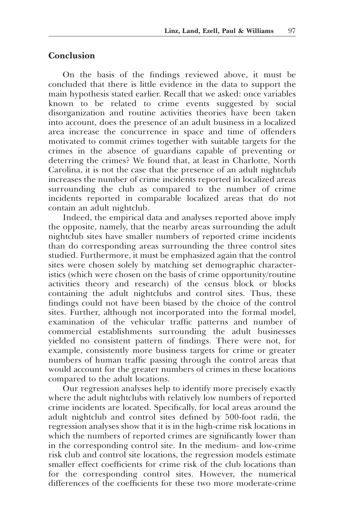## **Conclusion**

On the basis of the findings reviewed above, it must be concluded that there is little evidence in the data to support the main hypothesis stated earlier. Recall that we asked: once variables known to be related to crime events suggested by social disorganization and routine activities theories have been taken into account, does the presence of an adult business in a localized area increase the concurrence in space and time of offenders motivated to commit crimes together with suitable targets for the crimes in the absence of guardians capable of preventing or deterring the crimes? We found that, at least in Charlotte, North Carolina, it is not the case that the presence of an adult nightclub increases the number of crime incidents reported in localized areas surrounding the club as compared to the number of crime incidents reported in comparable localized areas that do not contain an adult nightclub.

Indeed, the empirical data and analyses reported above imply the opposite, namely, that the nearby areas surrounding the adult nightclub sites have smaller numbers of reported crime incidents than do corresponding areas surrounding the three control sites studied. Furthermore, it must be emphasized again that the control sites were chosen solely by matching set demographic characteristics (which were chosen on the basis of crime opportunity/routine activities theory and research) of the census block or blocks containing the adult nightclubs and control sites. Thus, these findings could not have been biased by the choice of the control sites. Further, although not incorporated into the formal model, examination of the vehicular traffic patterns and number of commercial establishments surrounding the adult businesses yielded no consistent pattern of findings. There were not, for example, consistently more business targets for crime or greater numbers of human traffic passing through the control areas that would account for the greater numbers of crimes in these locations compared to the adult locations.

Our regression analyses help to identify more precisely exactly where the adult nightclubs with relatively low numbers of reported crime incidents are located. Specifically, for local areas around the adult nightclub and control sites defined by 500-foot radii, the regression analyses show that it is in the high-crime risk locations in which the numbers of reported crimes are significantly lower than in the corresponding control site. In the medium- and low-crime risk club and control site locations, the regression models estimate smaller effect coefficients for crime risk of the club locations than for the corresponding control sites. However, the numerical differences of the coefficients for these two more moderate-crime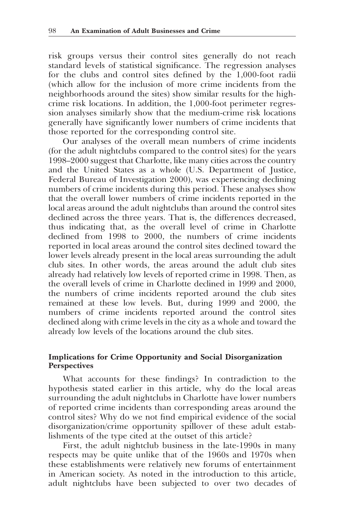risk groups versus their control sites generally do not reach standard levels of statistical significance. The regression analyses for the clubs and control sites defined by the 1,000-foot radii (which allow for the inclusion of more crime incidents from the neighborhoods around the sites) show similar results for the highcrime risk locations. In addition, the 1,000-foot perimeter regression analyses similarly show that the medium-crime risk locations generally have significantly lower numbers of crime incidents that those reported for the corresponding control site.

Our analyses of the overall mean numbers of crime incidents (for the adult nightclubs compared to the control sites) for the years 1998–2000 suggest that Charlotte, like many cities across the country and the United States as a whole (U.S. Department of Justice, Federal Bureau of Investigation 2000), was experiencing declining numbers of crime incidents during this period. These analyses show that the overall lower numbers of crime incidents reported in the local areas around the adult nightclubs than around the control sites declined across the three years. That is, the differences decreased, thus indicating that, as the overall level of crime in Charlotte declined from 1998 to 2000, the numbers of crime incidents reported in local areas around the control sites declined toward the lower levels already present in the local areas surrounding the adult club sites. In other words, the areas around the adult club sites already had relatively low levels of reported crime in 1998. Then, as the overall levels of crime in Charlotte declined in 1999 and 2000, the numbers of crime incidents reported around the club sites remained at these low levels. But, during 1999 and 2000, the numbers of crime incidents reported around the control sites declined along with crime levels in the city as a whole and toward the already low levels of the locations around the club sites.

## Implications for Crime Opportunity and Social Disorganization **Perspectives**

What accounts for these findings? In contradiction to the hypothesis stated earlier in this article, why do the local areas surrounding the adult nightclubs in Charlotte have lower numbers of reported crime incidents than corresponding areas around the control sites? Why do we not find empirical evidence of the social disorganization/crime opportunity spillover of these adult establishments of the type cited at the outset of this article?

First, the adult nightclub business in the late-1990s in many respects may be quite unlike that of the 1960s and 1970s when these establishments were relatively new forums of entertainment in American society. As noted in the introduction to this article, adult nightclubs have been subjected to over two decades of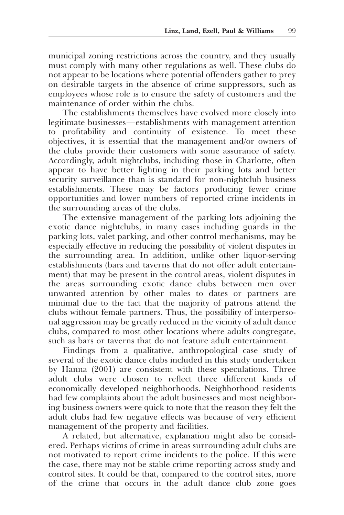municipal zoning restrictions across the country, and they usually must comply with many other regulations as well. These clubs do not appear to be locations where potential offenders gather to prey on desirable targets in the absence of crime suppressors, such as employees whose role is to ensure the safety of customers and the maintenance of order within the clubs.

The establishments themselves have evolved more closely into legitimate businesses—establishments with management attention to profitability and continuity of existence. To meet these objectives, it is essential that the management and/or owners of the clubs provide their customers with some assurance of safety. Accordingly, adult nightclubs, including those in Charlotte, often appear to have better lighting in their parking lots and better security surveillance than is standard for non-nightclub business establishments. These may be factors producing fewer crime opportunities and lower numbers of reported crime incidents in the surrounding areas of the clubs.

The extensive management of the parking lots adjoining the exotic dance nightclubs, in many cases including guards in the parking lots, valet parking, and other control mechanisms, may be especially effective in reducing the possibility of violent disputes in the surrounding area. In addition, unlike other liquor-serving establishments (bars and taverns that do not offer adult entertainment) that may be present in the control areas, violent disputes in the areas surrounding exotic dance clubs between men over unwanted attention by other males to dates or partners are minimal due to the fact that the majority of patrons attend the clubs without female partners. Thus, the possibility of interpersonal aggression may be greatly reduced in the vicinity of adult dance clubs, compared to most other locations where adults congregate, such as bars or taverns that do not feature adult entertainment.

Findings from a qualitative, anthropological case study of several of the exotic dance clubs included in this study undertaken by Hanna (2001) are consistent with these speculations. Three adult clubs were chosen to reflect three different kinds of economically developed neighborhoods. Neighborhood residents had few complaints about the adult businesses and most neighboring business owners were quick to note that the reason they felt the adult clubs had few negative effects was because of very efficient management of the property and facilities.

A related, but alternative, explanation might also be considered. Perhaps victims of crime in areas surrounding adult clubs are not motivated to report crime incidents to the police. If this were the case, there may not be stable crime reporting across study and control sites. It could be that, compared to the control sites, more of the crime that occurs in the adult dance club zone goes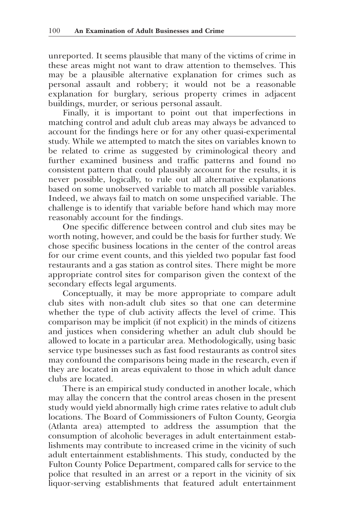unreported. It seems plausible that many of the victims of crime in these areas might not want to draw attention to themselves. This may be a plausible alternative explanation for crimes such as personal assault and robbery; it would not be a reasonable explanation for burglary, serious property crimes in adjacent buildings, murder, or serious personal assault.

Finally, it is important to point out that imperfections in matching control and adult club areas may always be advanced to account for the findings here or for any other quasi-experimental study. While we attempted to match the sites on variables known to be related to crime as suggested by criminological theory and further examined business and traffic patterns and found no consistent pattern that could plausibly account for the results, it is never possible, logically, to rule out all alternative explanations based on some unobserved variable to match all possible variables. Indeed, we always fail to match on some unspecified variable. The challenge is to identify that variable before hand which may more reasonably account for the findings.

One specific difference between control and club sites may be worth noting, however, and could be the basis for further study. We chose specific business locations in the center of the control areas for our crime event counts, and this yielded two popular fast food restaurants and a gas station as control sites. There might be more appropriate control sites for comparison given the context of the secondary effects legal arguments.

Conceptually, it may be more appropriate to compare adult club sites with non-adult club sites so that one can determine whether the type of club activity affects the level of crime. This comparison may be implicit (if not explicit) in the minds of citizens and justices when considering whether an adult club should be allowed to locate in a particular area. Methodologically, using basic service type businesses such as fast food restaurants as control sites may confound the comparisons being made in the research, even if they are located in areas equivalent to those in which adult dance clubs are located.

There is an empirical study conducted in another locale, which may allay the concern that the control areas chosen in the present study would yield abnormally high crime rates relative to adult club locations. The Board of Commissioners of Fulton County, Georgia (Atlanta area) attempted to address the assumption that the consumption of alcoholic beverages in adult entertainment establishments may contribute to increased crime in the vicinity of such adult entertainment establishments. This study, conducted by the Fulton County Police Department, compared calls for service to the police that resulted in an arrest or a report in the vicinity of six liquor-serving establishments that featured adult entertainment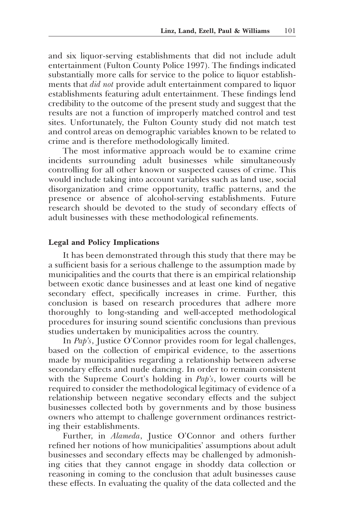and six liquor-serving establishments that did not include adult entertainment (Fulton County Police 1997). The findings indicated substantially more calls for service to the police to liquor establishments that *did not* provide adult entertainment compared to liquor establishments featuring adult entertainment. These findings lend credibility to the outcome of the present study and suggest that the results are not a function of improperly matched control and test sites. Unfortunately, the Fulton County study did not match test and control areas on demographic variables known to be related to crime and is therefore methodologically limited.

The most informative approach would be to examine crime incidents surrounding adult businesses while simultaneously controlling for all other known or suspected causes of crime. This would include taking into account variables such as land use, social disorganization and crime opportunity, traffic patterns, and the presence or absence of alcohol-serving establishments. Future research should be devoted to the study of secondary effects of adult businesses with these methodological refinements.

#### Legal and Policy Implications

It has been demonstrated through this study that there may be a sufficient basis for a serious challenge to the assumption made by municipalities and the courts that there is an empirical relationship between exotic dance businesses and at least one kind of negative secondary effect, specifically increases in crime. Further, this conclusion is based on research procedures that adhere more thoroughly to long-standing and well-accepted methodological procedures for insuring sound scientific conclusions than previous studies undertaken by municipalities across the country.

In *Pap's*, Justice O'Connor provides room for legal challenges, based on the collection of empirical evidence, to the assertions made by municipalities regarding a relationship between adverse secondary effects and nude dancing. In order to remain consistent with the Supreme Court's holding in *Pap's*, lower courts will be required to consider the methodological legitimacy of evidence of a relationship between negative secondary effects and the subject businesses collected both by governments and by those business owners who attempt to challenge government ordinances restricting their establishments.

Further, in *Alameda*, Justice O'Connor and others further refined her notions of how municipalities' assumptions about adult businesses and secondary effects may be challenged by admonishing cities that they cannot engage in shoddy data collection or reasoning in coming to the conclusion that adult businesses cause these effects. In evaluating the quality of the data collected and the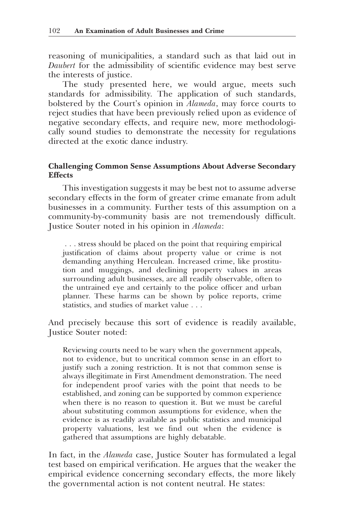reasoning of municipalities, a standard such as that laid out in Daubert for the admissibility of scientific evidence may best serve the interests of justice.

The study presented here, we would argue, meets such standards for admissibility. The application of such standards, bolstered by the Court's opinion in *Alameda*, may force courts to reject studies that have been previously relied upon as evidence of negative secondary effects, and require new, more methodologically sound studies to demonstrate the necessity for regulations directed at the exotic dance industry.

## Challenging Common Sense Assumptions About Adverse Secondary **Effects**

This investigation suggests it may be best not to assume adverse secondary effects in the form of greater crime emanate from adult businesses in a community. Further tests of this assumption on a community-by-community basis are not tremendously difficult. Justice Souter noted in his opinion in Alameda:

. . . stress should be placed on the point that requiring empirical justification of claims about property value or crime is not demanding anything Herculean. Increased crime, like prostitution and muggings, and declining property values in areas surrounding adult businesses, are all readily observable, often to the untrained eye and certainly to the police officer and urban planner. These harms can be shown by police reports, crime statistics, and studies of market value . . .

And precisely because this sort of evidence is readily available, Justice Souter noted:

Reviewing courts need to be wary when the government appeals, not to evidence, but to uncritical common sense in an effort to justify such a zoning restriction. It is not that common sense is always illegitimate in First Amendment demonstration. The need for independent proof varies with the point that needs to be established, and zoning can be supported by common experience when there is no reason to question it. But we must be careful about substituting common assumptions for evidence, when the evidence is as readily available as public statistics and municipal property valuations, lest we find out when the evidence is gathered that assumptions are highly debatable.

In fact, in the Alameda case, Justice Souter has formulated a legal test based on empirical verification. He argues that the weaker the empirical evidence concerning secondary effects, the more likely the governmental action is not content neutral. He states: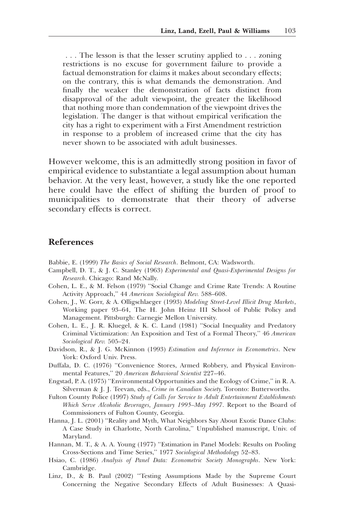. . . The lesson is that the lesser scrutiny applied to . . . zoning restrictions is no excuse for government failure to provide a factual demonstration for claims it makes about secondary effects; on the contrary, this is what demands the demonstration. And finally the weaker the demonstration of facts distinct from disapproval of the adult viewpoint, the greater the likelihood that nothing more than condemnation of the viewpoint drives the legislation. The danger is that without empirical verification the city has a right to experiment with a First Amendment restriction in response to a problem of increased crime that the city has never shown to be associated with adult businesses.

However welcome, this is an admittedly strong position in favor of empirical evidence to substantiate a legal assumption about human behavior. At the very least, however, a study like the one reported here could have the effect of shifting the burden of proof to municipalities to demonstrate that their theory of adverse secondary effects is correct.

#### References

Babbie, E. (1999) The Basics of Social Research. Belmont, CA: Wadsworth.

- Campbell, D. T., & J. C. Stanley (1963) Experimental and Quasi-Experimental Designs for Research. Chicago: Rand McNally.
- Cohen, L. E., & M. Felson (1979) ''Social Change and Crime Rate Trends: A Routine Activity Approach,'' 44 American Sociological Rev. 588–608.
- Cohen, J., W. Gorr, & A. Olligschlaeger (1993) Modeling Street-Level Illicit Drug Markets, Working paper 93–64, The H. John Heinz III School of Public Policy and Management. Pittsburgh: Carnegie Mellon University.
- Cohen, L. E., J. R. Kluegel, & K. C. Land (1981) ''Social Inequality and Predatory Criminal Victimization: An Exposition and Test of a Formal Theory,'' 46 American Sociological Rev. 505–24.
- Davidson, R., & J. G. McKinnon (1993) *Estimation and Inference in Econometrics*. New York: Oxford Univ. Press.
- Duffala, D. C. (1976) ''Convenience Stores, Armed Robbery, and Physical Environmental Features,'' 20 American Behavioral Scientist 227–46.
- Engstad, P. A. (1975) ''Environmental Opportunities and the Ecology of Crime,'' in R. A. Silverman & J. J. Teevan, eds., Crime in Canadian Society. Toronto: Butterworths.
- Fulton County Police (1997) Study of Calls for Service to Adult Entertainment Establishments Which Serve Alcoholic Beverages, January 1995–May 1997. Report to the Board of Commissioners of Fulton County, Georgia.
- Hanna, J. L. (2001) ''Reality and Myth, What Neighbors Say About Exotic Dance Clubs: A Case Study in Charlotte, North Carolina,'' Unpublished manuscript, Univ. of Maryland.
- Hannan, M. T., & A. A. Young (1977) ''Estimation in Panel Models: Results on Pooling Cross-Sections and Time Series,'' 1977 Sociological Methodology 52–83.
- Hsiao, C. (1986) Analysis of Panel Data: Econometric Society Monographs. New York: Cambridge.
- Linz, D., & B. Paul (2002) ''Testing Assumptions Made by the Supreme Court Concerning the Negative Secondary Effects of Adult Businesses: A Quasi-